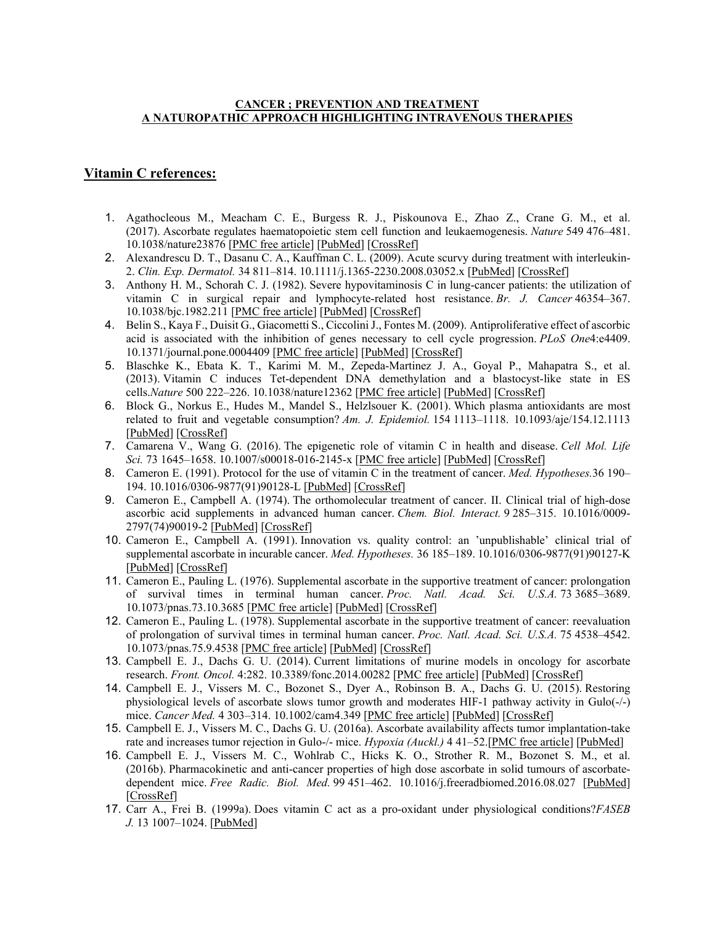#### **CANCER ; PREVENTION AND TREATMENT A NATUROPATHIC APPROACH HIGHLIGHTING INTRAVENOUS THERAPIES**

### **Vitamin C references:**

- 1. Agathocleous M., Meacham C. E., Burgess R. J., Piskounova E., Zhao Z., Crane G. M., et al. (2017). Ascorbate regulates haematopoietic stem cell function and leukaemogenesis. *Nature* 549 476–481. 10.1038/nature23876 [\[PMC free article\]](https://www.ncbi.nlm.nih.gov/pmc/articles/PMC5910063/) [\[PubMed\]](https://www.ncbi.nlm.nih.gov/pubmed/28825709) [\[CrossRef\]](https://dx.doi.org/10.1038%2Fnature23876)
- 2. Alexandrescu D. T., Dasanu C. A., Kauffman C. L. (2009). Acute scurvy during treatment with interleukin-2. *Clin. Exp. Dermatol.* 34 811–814. 10.1111/j.1365-2230.2008.03052.x [\[PubMed\]](https://www.ncbi.nlm.nih.gov/pubmed/19094121) [\[CrossRef\]](https://dx.doi.org/10.1111%2Fj.1365-2230.2008.03052.x)
- 3. Anthony H. M., Schorah C. J. (1982). Severe hypovitaminosis C in lung-cancer patients: the utilization of vitamin C in surgical repair and lymphocyte-related host resistance. *Br. J. Cancer* 46354–367. 10.1038/bjc.1982.211 [\[PMC free article\]](https://www.ncbi.nlm.nih.gov/pmc/articles/PMC2011112/) [\[PubMed\]](https://www.ncbi.nlm.nih.gov/pubmed/7126425) [\[CrossRef\]](https://dx.doi.org/10.1038%2Fbjc.1982.211)
- 4. Belin S., Kaya F., Duisit G., Giacometti S., Ciccolini J., Fontes M. (2009). Antiproliferative effect of ascorbic acid is associated with the inhibition of genes necessary to cell cycle progression. *PLoS One*4:e4409. 10.1371/journal.pone.0004409 [\[PMC free article\]](https://www.ncbi.nlm.nih.gov/pmc/articles/PMC2634969/) [\[PubMed\]](https://www.ncbi.nlm.nih.gov/pubmed/19197388) [\[CrossRef\]](https://dx.doi.org/10.1371%2Fjournal.pone.0004409)
- 5. Blaschke K., Ebata K. T., Karimi M. M., Zepeda-Martinez J. A., Goyal P., Mahapatra S., et al. (2013). Vitamin C induces Tet-dependent DNA demethylation and a blastocyst-like state in ES cells.*Nature* 500 222–226. 10.1038/nature12362 [\[PMC free article\]](https://www.ncbi.nlm.nih.gov/pmc/articles/PMC3893718/) [\[PubMed\]](https://www.ncbi.nlm.nih.gov/pubmed/23812591) [\[CrossRef\]](https://dx.doi.org/10.1038%2Fnature12362)
- 6. Block G., Norkus E., Hudes M., Mandel S., Helzlsouer K. (2001). Which plasma antioxidants are most related to fruit and vegetable consumption? *Am. J. Epidemiol.* 154 1113–1118. 10.1093/aje/154.12.1113 [\[PubMed\]](https://www.ncbi.nlm.nih.gov/pubmed/11744516) [\[CrossRef\]](https://dx.doi.org/10.1093%2Faje%2F154.12.1113)
- 7. Camarena V., Wang G. (2016). The epigenetic role of vitamin C in health and disease. *Cell Mol. Life Sci.* 73 1645–1658. 10.1007/s00018-016-2145-x [\[PMC free article\]](https://www.ncbi.nlm.nih.gov/pmc/articles/PMC4805483/) [\[PubMed\]](https://www.ncbi.nlm.nih.gov/pubmed/26846695) [\[CrossRef\]](https://dx.doi.org/10.1007%2Fs00018-016-2145-x)
- 8. Cameron E. (1991). Protocol for the use of vitamin C in the treatment of cancer. *Med. Hypotheses.*36 190– 194. 10.1016/0306-9877(91)90128-L [\[PubMed\]](https://www.ncbi.nlm.nih.gov/pubmed/1787808) [\[CrossRef\]](https://dx.doi.org/10.1016%2F0306-9877(91)90128-L)
- 9. Cameron E., Campbell A. (1974). The orthomolecular treatment of cancer. II. Clinical trial of high-dose ascorbic acid supplements in advanced human cancer. *Chem. Biol. Interact.* 9 285–315. 10.1016/0009- 2797(74)90019-2 [\[PubMed\]](https://www.ncbi.nlm.nih.gov/pubmed/4430016) [\[CrossRef\]](https://dx.doi.org/10.1016%2F0009-2797(74)90019-2)
- 10. Cameron E., Campbell A. (1991). Innovation vs. quality control: an 'unpublishable' clinical trial of supplemental ascorbate in incurable cancer. *Med. Hypotheses.* 36 185–189. 10.1016/0306-9877(91)90127-K [\[PubMed\]](https://www.ncbi.nlm.nih.gov/pubmed/1787807) [\[CrossRef\]](https://dx.doi.org/10.1016%2F0306-9877(91)90127-K)
- 11. Cameron E., Pauling L. (1976). Supplemental ascorbate in the supportive treatment of cancer: prolongation of survival times in terminal human cancer. *Proc. Natl. Acad. Sci. U.S.A.* 73 3685–3689. 10.1073/pnas.73.10.3685 [\[PMC free article\]](https://www.ncbi.nlm.nih.gov/pmc/articles/PMC431183/) [\[PubMed\]](https://www.ncbi.nlm.nih.gov/pubmed/1068480) [\[CrossRef\]](https://dx.doi.org/10.1073%2Fpnas.73.10.3685)
- 12. Cameron E., Pauling L. (1978). Supplemental ascorbate in the supportive treatment of cancer: reevaluation of prolongation of survival times in terminal human cancer. *Proc. Natl. Acad. Sci. U.S.A.* 75 4538–4542. 10.1073/pnas.75.9.4538 [\[PMC free article\]](https://www.ncbi.nlm.nih.gov/pmc/articles/PMC336151/) [\[PubMed\]](https://www.ncbi.nlm.nih.gov/pubmed/279931) [\[CrossRef\]](https://dx.doi.org/10.1073%2Fpnas.75.9.4538)
- 13. Campbell E. J., Dachs G. U. (2014). Current limitations of murine models in oncology for ascorbate research. *Front. Oncol.* 4:282. 10.3389/fonc.2014.00282 [\[PMC free article\]](https://www.ncbi.nlm.nih.gov/pmc/articles/PMC4196513/) [\[PubMed\]](https://www.ncbi.nlm.nih.gov/pubmed/25353008) [\[CrossRef\]](https://dx.doi.org/10.3389%2Ffonc.2014.00282)
- 14. Campbell E. J., Vissers M. C., Bozonet S., Dyer A., Robinson B. A., Dachs G. U. (2015). Restoring physiological levels of ascorbate slows tumor growth and moderates HIF-1 pathway activity in Gulo(-/-) mice. *Cancer Med.* 4 303–314. 10.1002/cam4.349 [\[PMC free article\]](https://www.ncbi.nlm.nih.gov/pmc/articles/PMC4329013/) [\[PubMed\]](https://www.ncbi.nlm.nih.gov/pubmed/25354695) [\[CrossRef\]](https://dx.doi.org/10.1002%2Fcam4.349)
- 15. Campbell E. J., Vissers M. C., Dachs G. U. (2016a). Ascorbate availability affects tumor implantation-take rate and increases tumor rejection in Gulo-/- mice. *Hypoxia (Auckl.)* 4 41–52.[\[PMC free article\]](https://www.ncbi.nlm.nih.gov/pmc/articles/PMC5085285/) [\[PubMed\]](https://www.ncbi.nlm.nih.gov/pubmed/27800507)
- 16. Campbell E. J., Vissers M. C., Wohlrab C., Hicks K. O., Strother R. M., Bozonet S. M., et al. (2016b). Pharmacokinetic and anti-cancer properties of high dose ascorbate in solid tumours of ascorbatedependent mice. *Free Radic. Biol. Med.* 99 451–462. 10.1016/j.freeradbiomed.2016.08.027 [\[PubMed\]](https://www.ncbi.nlm.nih.gov/pubmed/27567539) [\[CrossRef\]](https://dx.doi.org/10.1016%2Fj.freeradbiomed.2016.08.027)
- 17. Carr A., Frei B. (1999a). Does vitamin C act as a pro-oxidant under physiological conditions?*FASEB J.* 13 1007–1024. [\[PubMed\]](https://www.ncbi.nlm.nih.gov/pubmed/10336883)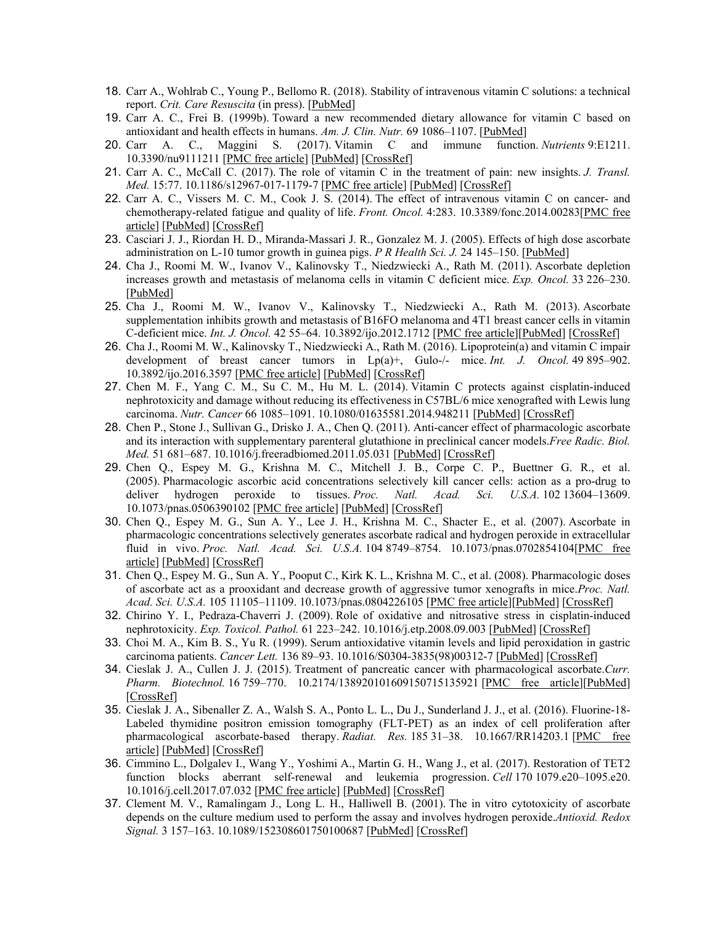- 18. Carr A., Wohlrab C., Young P., Bellomo R. (2018). Stability of intravenous vitamin C solutions: a technical report. *Crit. Care Resuscita* (in press). [\[PubMed\]](https://www.ncbi.nlm.nih.gov/pubmed/30153779)
- 19. Carr A. C., Frei B. (1999b). Toward a new recommended dietary allowance for vitamin C based on antioxidant and health effects in humans. *Am. J. Clin. Nutr.* 69 1086–1107. [\[PubMed\]](https://www.ncbi.nlm.nih.gov/pubmed/10357726)
- 20. Carr A. C., Maggini S. (2017). Vitamin C and immune function. *Nutrients* 9:E1211. 10.3390/nu9111211 [\[PMC free article\]](https://www.ncbi.nlm.nih.gov/pmc/articles/PMC5707683/) [\[PubMed\]](https://www.ncbi.nlm.nih.gov/pubmed/29099763) [\[CrossRef\]](https://dx.doi.org/10.3390%2Fnu9111211)
- 21. Carr A. C., McCall C. (2017). The role of vitamin C in the treatment of pain: new insights. *J. Transl. Med.* 15:77. 10.1186/s12967-017-1179-7 [\[PMC free article\]](https://www.ncbi.nlm.nih.gov/pmc/articles/PMC5391567/) [\[PubMed\]](https://www.ncbi.nlm.nih.gov/pubmed/28410599) [\[CrossRef\]](https://dx.doi.org/10.1186%2Fs12967-017-1179-7)
- 22. Carr A. C., Vissers M. C. M., Cook J. S. (2014). The effect of intravenous vitamin C on cancer- and chemotherapy-related fatigue and quality of life. *Front. Oncol.* 4:283. 10.3389/fonc.2014.00283[\[PMC free](https://www.ncbi.nlm.nih.gov/pmc/articles/PMC4199254/)  [article\]](https://www.ncbi.nlm.nih.gov/pmc/articles/PMC4199254/) [\[PubMed\]](https://www.ncbi.nlm.nih.gov/pubmed/25360419) [\[CrossRef\]](https://dx.doi.org/10.3389%2Ffonc.2014.00283)
- 23. Casciari J. J., Riordan H. D., Miranda-Massari J. R., Gonzalez M. J. (2005). Effects of high dose ascorbate administration on L-10 tumor growth in guinea pigs. *P R Health Sci. J.* 24 145–150. [\[PubMed\]](https://www.ncbi.nlm.nih.gov/pubmed/16116933)
- 24. Cha J., Roomi M. W., Ivanov V., Kalinovsky T., Niedzwiecki A., Rath M. (2011). Ascorbate depletion increases growth and metastasis of melanoma cells in vitamin C deficient mice. *Exp. Oncol.* 33 226–230. [\[PubMed\]](https://www.ncbi.nlm.nih.gov/pubmed/22217712)
- 25. Cha J., Roomi M. W., Ivanov V., Kalinovsky T., Niedzwiecki A., Rath M. (2013). Ascorbate supplementation inhibits growth and metastasis of B16FO melanoma and 4T1 breast cancer cells in vitamin C-deficient mice. *Int. J. Oncol.* 42 55–64. 10.3892/ijo.2012.1712 [\[PMC free article\]](https://www.ncbi.nlm.nih.gov/pmc/articles/PMC3583641/)[\[PubMed\]](https://www.ncbi.nlm.nih.gov/pubmed/23175106) [\[CrossRef\]](https://dx.doi.org/10.3892%2Fijo.2012.1712)
- 26. Cha J., Roomi M. W., Kalinovsky T., Niedzwiecki A., Rath M. (2016). Lipoprotein(a) and vitamin C impair development of breast cancer tumors in Lp(a)+, Gulo-/- mice. *Int. J. Oncol.* 49 895–902. 10.3892/ijo.2016.3597 [\[PMC free article\]](https://www.ncbi.nlm.nih.gov/pmc/articles/PMC4948959/) [\[PubMed\]](https://www.ncbi.nlm.nih.gov/pubmed/27573077) [\[CrossRef\]](https://dx.doi.org/10.3892%2Fijo.2016.3597)
- 27. Chen M. F., Yang C. M., Su C. M., Hu M. L. (2014). Vitamin C protects against cisplatin-induced nephrotoxicity and damage without reducing its effectiveness in C57BL/6 mice xenografted with Lewis lung carcinoma. *Nutr. Cancer* 66 1085–1091. 10.1080/01635581.2014.948211 [\[PubMed\]](https://www.ncbi.nlm.nih.gov/pubmed/25157954) [\[CrossRef\]](https://dx.doi.org/10.1080%2F01635581.2014.948211)
- 28. Chen P., Stone J., Sullivan G., Drisko J. A., Chen Q. (2011). Anti-cancer effect of pharmacologic ascorbate and its interaction with supplementary parenteral glutathione in preclinical cancer models.*Free Radic. Biol. Med.* 51 681–687. 10.1016/j.freeradbiomed.2011.05.031 [\[PubMed\]](https://www.ncbi.nlm.nih.gov/pubmed/21672627) [\[CrossRef\]](https://dx.doi.org/10.1016%2Fj.freeradbiomed.2011.05.031)
- 29. Chen Q., Espey M. G., Krishna M. C., Mitchell J. B., Corpe C. P., Buettner G. R., et al. (2005). Pharmacologic ascorbic acid concentrations selectively kill cancer cells: action as a pro-drug to deliver hydrogen peroxide to tissues. *Proc. Natl. Acad. Sci. U.S.A.* 102 13604–13609. 10.1073/pnas.0506390102 [\[PMC free article\]](https://www.ncbi.nlm.nih.gov/pmc/articles/PMC1224653/) [\[PubMed\]](https://www.ncbi.nlm.nih.gov/pubmed/16157892) [\[CrossRef\]](https://dx.doi.org/10.1073%2Fpnas.0506390102)
- 30. Chen Q., Espey M. G., Sun A. Y., Lee J. H., Krishna M. C., Shacter E., et al. (2007). Ascorbate in pharmacologic concentrations selectively generates ascorbate radical and hydrogen peroxide in extracellular fluid in vivo. *Proc. Natl. Acad. Sci. U.S.A.* 104 8749–8754. 10.1073/pnas.0702854104[\[PMC free](https://www.ncbi.nlm.nih.gov/pmc/articles/PMC1885574/)  [article\]](https://www.ncbi.nlm.nih.gov/pmc/articles/PMC1885574/) [\[PubMed\]](https://www.ncbi.nlm.nih.gov/pubmed/17502596) [\[CrossRef\]](https://dx.doi.org/10.1073%2Fpnas.0702854104)
- 31. Chen Q., Espey M. G., Sun A. Y., Pooput C., Kirk K. L., Krishna M. C., et al. (2008). Pharmacologic doses of ascorbate act as a prooxidant and decrease growth of aggressive tumor xenografts in mice.*Proc. Natl. Acad. Sci. U.S.A.* 105 11105–11109. 10.1073/pnas.0804226105 [\[PMC free article\]](https://www.ncbi.nlm.nih.gov/pmc/articles/PMC2516281/)[\[PubMed\]](https://www.ncbi.nlm.nih.gov/pubmed/18678913) [\[CrossRef\]](https://dx.doi.org/10.1073%2Fpnas.0804226105)
- 32. Chirino Y. I., Pedraza-Chaverri J. (2009). Role of oxidative and nitrosative stress in cisplatin-induced nephrotoxicity. *Exp. Toxicol. Pathol.* 61 223–242. 10.1016/j.etp.2008.09.003 [\[PubMed\]](https://www.ncbi.nlm.nih.gov/pubmed/18986801) [\[CrossRef\]](https://dx.doi.org/10.1016%2Fj.etp.2008.09.003)
- 33. Choi M. A., Kim B. S., Yu R. (1999). Serum antioxidative vitamin levels and lipid peroxidation in gastric carcinoma patients. *Cancer Lett.* 136 89–93. 10.1016/S0304-3835(98)00312-7 [\[PubMed\]](https://www.ncbi.nlm.nih.gov/pubmed/10211945) [\[CrossRef\]](https://dx.doi.org/10.1016%2FS0304-3835(98)00312-7)
- 34. Cieslak J. A., Cullen J. J. (2015). Treatment of pancreatic cancer with pharmacological ascorbate.*Curr. Pharm. Biotechnol.* 16 759–770. 10.2174/138920101609150715135921 [\[PMC free article\]](https://www.ncbi.nlm.nih.gov/pmc/articles/PMC4895694/)[\[PubMed\]](https://www.ncbi.nlm.nih.gov/pubmed/26201606) [\[CrossRef\]](https://dx.doi.org/10.2174%2F138920101609150715135921)
- 35. Cieslak J. A., Sibenaller Z. A., Walsh S. A., Ponto L. L., Du J., Sunderland J. J., et al. (2016). Fluorine-18- Labeled thymidine positron emission tomography (FLT-PET) as an index of cell proliferation after pharmacological ascorbate-based therapy. *Radiat. Res.* 185 31–38. 10.1667/RR14203.1 [\[PMC free](https://www.ncbi.nlm.nih.gov/pmc/articles/PMC4720529/)  [article\]](https://www.ncbi.nlm.nih.gov/pmc/articles/PMC4720529/) [\[PubMed\]](https://www.ncbi.nlm.nih.gov/pubmed/26720803) [\[CrossRef\]](https://dx.doi.org/10.1667%2FRR14203.1)
- 36. Cimmino L., Dolgalev I., Wang Y., Yoshimi A., Martin G. H., Wang J., et al. (2017). Restoration of TET2 function blocks aberrant self-renewal and leukemia progression. *Cell* 170 1079.e20–1095.e20. 10.1016/j.cell.2017.07.032 [\[PMC free article\]](https://www.ncbi.nlm.nih.gov/pmc/articles/PMC5755977/) [\[PubMed\]](https://www.ncbi.nlm.nih.gov/pubmed/28823558) [\[CrossRef\]](https://dx.doi.org/10.1016%2Fj.cell.2017.07.032)
- 37. Clement M. V., Ramalingam J., Long L. H., Halliwell B. (2001). The in vitro cytotoxicity of ascorbate depends on the culture medium used to perform the assay and involves hydrogen peroxide.*Antioxid. Redox Signal.* 3 157–163. 10.1089/152308601750100687 [\[PubMed\]](https://www.ncbi.nlm.nih.gov/pubmed/11291594) [\[CrossRef\]](https://dx.doi.org/10.1089%2F152308601750100687)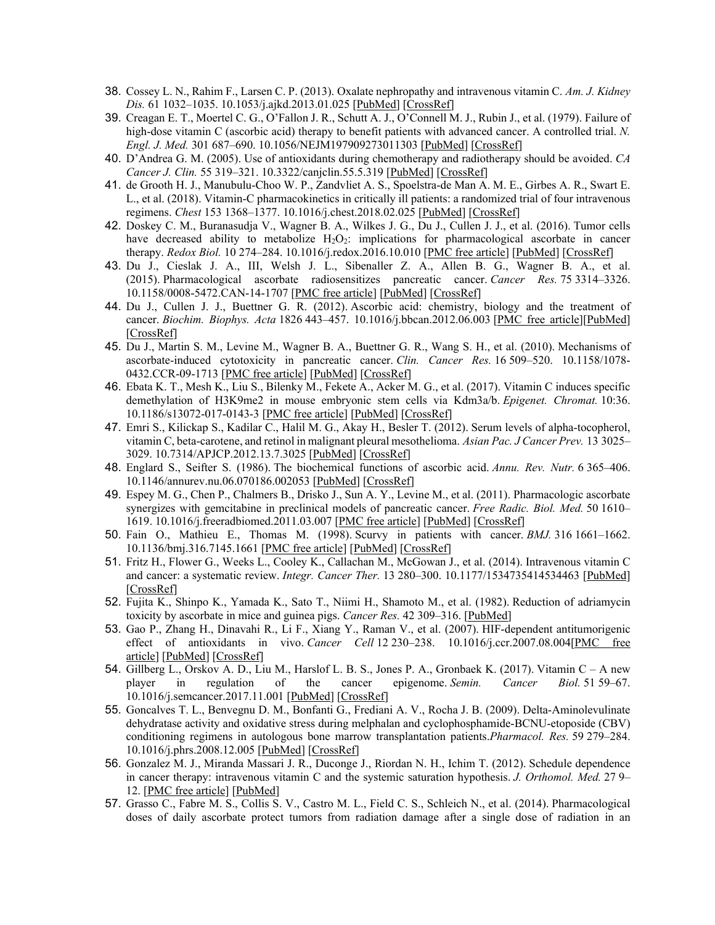- 38. Cossey L. N., Rahim F., Larsen C. P. (2013). Oxalate nephropathy and intravenous vitamin C. *Am. J. Kidney Dis.* 61 1032–1035. 10.1053/j.ajkd.2013.01.025 [\[PubMed\]](https://www.ncbi.nlm.nih.gov/pubmed/23548555) [\[CrossRef\]](https://dx.doi.org/10.1053%2Fj.ajkd.2013.01.025)
- 39. Creagan E. T., Moertel C. G., O'Fallon J. R., Schutt A. J., O'Connell M. J., Rubin J., et al. (1979). Failure of high-dose vitamin C (ascorbic acid) therapy to benefit patients with advanced cancer. A controlled trial. *N*. *Engl. J. Med.* 301 687–690. 10.1056/NEJM197909273011303 [\[PubMed\]](https://www.ncbi.nlm.nih.gov/pubmed/384241) [\[CrossRef\]](https://dx.doi.org/10.1056%2FNEJM197909273011303)
- 40. D'Andrea G. M. (2005). Use of antioxidants during chemotherapy and radiotherapy should be avoided. *CA Cancer J. Clin.* 55 319–321. 10.3322/canjclin.55.5.319 [\[PubMed\]](https://www.ncbi.nlm.nih.gov/pubmed/16166076) [\[CrossRef\]](https://dx.doi.org/10.3322%2Fcanjclin.55.5.319)
- 41. de Grooth H. J., Manubulu-Choo W. P., Zandvliet A. S., Spoelstra-de Man A. M. E., Girbes A. R., Swart E. L., et al. (2018). Vitamin-C pharmacokinetics in critically ill patients: a randomized trial of four intravenous regimens. *Chest* 153 1368–1377. 10.1016/j.chest.2018.02.025 [\[PubMed\]](https://www.ncbi.nlm.nih.gov/pubmed/29522710) [\[CrossRef\]](https://dx.doi.org/10.1016%2Fj.chest.2018.02.025)
- 42. Doskey C. M., Buranasudja V., Wagner B. A., Wilkes J. G., Du J., Cullen J. J., et al. (2016). Tumor cells have decreased ability to metabolize  $H_2O_2$ : implications for pharmacological ascorbate in cancer therapy. *Redox Biol.* 10 274–284. 10.1016/j.redox.2016.10.010 [\[PMC free article\]](https://www.ncbi.nlm.nih.gov/pmc/articles/PMC5106370/) [\[PubMed\]](https://www.ncbi.nlm.nih.gov/pubmed/27833040) [\[CrossRef\]](https://dx.doi.org/10.1016%2Fj.redox.2016.10.010)
- 43. Du J., Cieslak J. A., III, Welsh J. L., Sibenaller Z. A., Allen B. G., Wagner B. A., et al. (2015). Pharmacological ascorbate radiosensitizes pancreatic cancer. *Cancer Res.* 75 3314–3326. 10.1158/0008-5472.CAN-14-1707 [\[PMC free article\]](https://www.ncbi.nlm.nih.gov/pmc/articles/PMC4537815/) [\[PubMed\]](https://www.ncbi.nlm.nih.gov/pubmed/26081808) [\[CrossRef\]](https://dx.doi.org/10.1158%2F0008-5472.CAN-14-1707)
- 44. Du J., Cullen J. J., Buettner G. R. (2012). Ascorbic acid: chemistry, biology and the treatment of cancer. *Biochim. Biophys. Acta* 1826 443–457. 10.1016/j.bbcan.2012.06.003 [\[PMC free article\]](https://www.ncbi.nlm.nih.gov/pmc/articles/PMC3608474/)[\[PubMed\]](https://www.ncbi.nlm.nih.gov/pubmed/22728050) [\[CrossRef\]](https://dx.doi.org/10.1016%2Fj.bbcan.2012.06.003)
- 45. Du J., Martin S. M., Levine M., Wagner B. A., Buettner G. R., Wang S. H., et al. (2010). Mechanisms of ascorbate-induced cytotoxicity in pancreatic cancer. *Clin. Cancer Res.* 16 509–520. 10.1158/1078- 0432.CCR-09-1713 [\[PMC free article\]](https://www.ncbi.nlm.nih.gov/pmc/articles/PMC2807999/) [\[PubMed\]](https://www.ncbi.nlm.nih.gov/pubmed/20068072) [\[CrossRef\]](https://dx.doi.org/10.1158%2F1078-0432.CCR-09-1713)
- 46. Ebata K. T., Mesh K., Liu S., Bilenky M., Fekete A., Acker M. G., et al. (2017). Vitamin C induces specific demethylation of H3K9me2 in mouse embryonic stem cells via Kdm3a/b. *Epigenet. Chromat.* 10:36. 10.1186/s13072-017-0143-3 [\[PMC free article\]](https://www.ncbi.nlm.nih.gov/pmc/articles/PMC5506665/) [\[PubMed\]](https://www.ncbi.nlm.nih.gov/pubmed/28706564) [\[CrossRef\]](https://dx.doi.org/10.1186%2Fs13072-017-0143-3)
- 47. Emri S., Kilickap S., Kadilar C., Halil M. G., Akay H., Besler T. (2012). Serum levels of alpha-tocopherol, vitamin C, beta-carotene, and retinol in malignant pleural mesothelioma. *Asian Pac. J Cancer Prev.* 13 3025– 3029. 10.7314/APJCP.2012.13.7.3025 [\[PubMed\]](https://www.ncbi.nlm.nih.gov/pubmed/22994705) [\[CrossRef\]](https://dx.doi.org/10.7314%2FAPJCP.2012.13.7.3025)
- 48. Englard S., Seifter S. (1986). The biochemical functions of ascorbic acid. *Annu. Rev. Nutr.* 6 365–406. 10.1146/annurev.nu.06.070186.002053 [\[PubMed\]](https://www.ncbi.nlm.nih.gov/pubmed/3015170) [\[CrossRef\]](https://dx.doi.org/10.1146%2Fannurev.nu.06.070186.002053)
- 49. Espey M. G., Chen P., Chalmers B., Drisko J., Sun A. Y., Levine M., et al. (2011). Pharmacologic ascorbate synergizes with gemcitabine in preclinical models of pancreatic cancer. *Free Radic. Biol. Med.* 50 1610– 1619. 10.1016/j.freeradbiomed.2011.03.007 [\[PMC free article\]](https://www.ncbi.nlm.nih.gov/pmc/articles/PMC3482496/) [\[PubMed\]](https://www.ncbi.nlm.nih.gov/pubmed/21402145) [\[CrossRef\]](https://dx.doi.org/10.1016%2Fj.freeradbiomed.2011.03.007)
- 50. Fain O., Mathieu E., Thomas M. (1998). Scurvy in patients with cancer. *BMJ.* 316 1661–1662. 10.1136/bmj.316.7145.1661 [\[PMC free article\]](https://www.ncbi.nlm.nih.gov/pmc/articles/PMC1113239/) [\[PubMed\]](https://www.ncbi.nlm.nih.gov/pubmed/9603754) [\[CrossRef\]](https://dx.doi.org/10.1136%2Fbmj.316.7145.1661)
- 51. Fritz H., Flower G., Weeks L., Cooley K., Callachan M., McGowan J., et al. (2014). Intravenous vitamin C and cancer: a systematic review. *Integr. Cancer Ther.* 13 280–300. 10.1177/1534735414534463 [\[PubMed\]](https://www.ncbi.nlm.nih.gov/pubmed/24867961) [\[CrossRef\]](https://dx.doi.org/10.1177%2F1534735414534463)
- 52. Fujita K., Shinpo K., Yamada K., Sato T., Niimi H., Shamoto M., et al. (1982). Reduction of adriamycin toxicity by ascorbate in mice and guinea pigs. *Cancer Res.* 42 309–316. [\[PubMed\]](https://www.ncbi.nlm.nih.gov/pubmed/7053858)
- 53. Gao P., Zhang H., Dinavahi R., Li F., Xiang Y., Raman V., et al. (2007). HIF-dependent antitumorigenic effect of antioxidants in vivo. *Cancer Cell* 12 230–238. 10.1016/j.ccr.2007.08.004[\[PMC free](https://www.ncbi.nlm.nih.gov/pmc/articles/PMC2084208/)  [article\]](https://www.ncbi.nlm.nih.gov/pmc/articles/PMC2084208/) [\[PubMed\]](https://www.ncbi.nlm.nih.gov/pubmed/17785204) [\[CrossRef\]](https://dx.doi.org/10.1016%2Fj.ccr.2007.08.004)
- 54. Gillberg L., Orskov A. D., Liu M., Harslof L. B. S., Jones P. A., Gronbaek K. (2017). Vitamin C A new player in regulation of the cancer epigenome. *Semin. Cancer Biol.* 51 59–67. 10.1016/j.semcancer.2017.11.001 [\[PubMed\]](https://www.ncbi.nlm.nih.gov/pubmed/29102482) [\[CrossRef\]](https://dx.doi.org/10.1016%2Fj.semcancer.2017.11.001)
- 55. Goncalves T. L., Benvegnu D. M., Bonfanti G., Frediani A. V., Rocha J. B. (2009). Delta-Aminolevulinate dehydratase activity and oxidative stress during melphalan and cyclophosphamide-BCNU-etoposide (CBV) conditioning regimens in autologous bone marrow transplantation patients.*Pharmacol. Res.* 59 279–284. 10.1016/j.phrs.2008.12.005 [\[PubMed\]](https://www.ncbi.nlm.nih.gov/pubmed/19162187) [\[CrossRef\]](https://dx.doi.org/10.1016%2Fj.phrs.2008.12.005)
- 56. Gonzalez M. J., Miranda Massari J. R., Duconge J., Riordan N. H., Ichim T. (2012). Schedule dependence in cancer therapy: intravenous vitamin C and the systemic saturation hypothesis. *J. Orthomol. Med.* 27 9– 12. [\[PMC free article\]](https://www.ncbi.nlm.nih.gov/pmc/articles/PMC4031610/) [\[PubMed\]](https://www.ncbi.nlm.nih.gov/pubmed/24860238)
- 57. Grasso C., Fabre M. S., Collis S. V., Castro M. L., Field C. S., Schleich N., et al. (2014). Pharmacological doses of daily ascorbate protect tumors from radiation damage after a single dose of radiation in an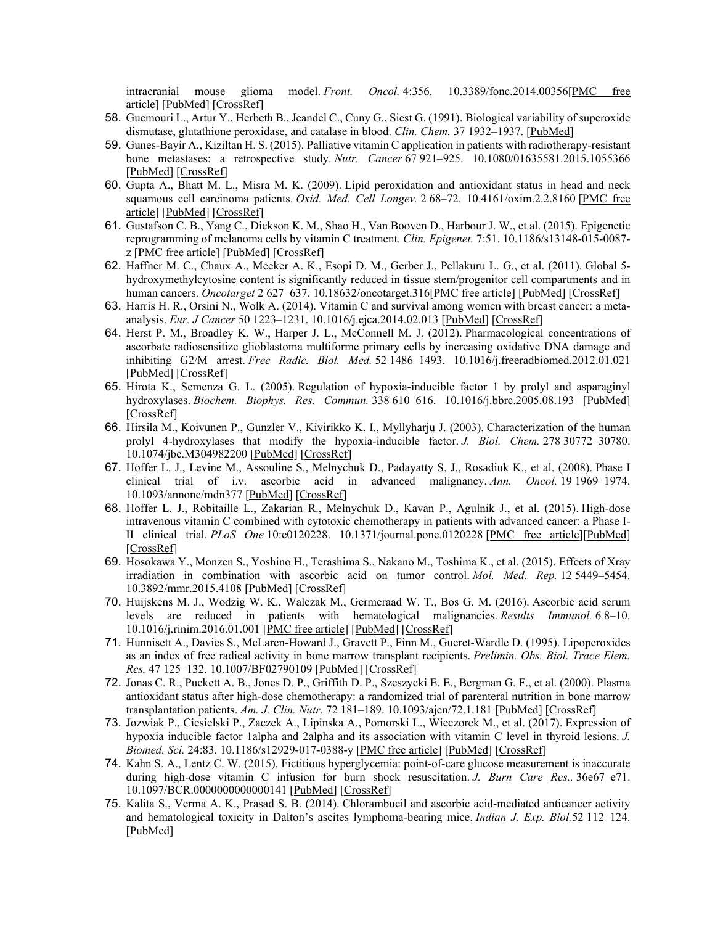intracranial mouse glioma model. *Front. Oncol.* 4:356. 10.3389/fonc.2014.00356[\[PMC free](https://www.ncbi.nlm.nih.gov/pmc/articles/PMC4266032/)  [article\]](https://www.ncbi.nlm.nih.gov/pmc/articles/PMC4266032/) [\[PubMed\]](https://www.ncbi.nlm.nih.gov/pubmed/25566497) [\[CrossRef\]](https://dx.doi.org/10.3389%2Ffonc.2014.00356)

- 58. Guemouri L., Artur Y., Herbeth B., Jeandel C., Cuny G., Siest G. (1991). Biological variability of superoxide dismutase, glutathione peroxidase, and catalase in blood. *Clin. Chem.* 37 1932–1937. [\[PubMed\]](https://www.ncbi.nlm.nih.gov/pubmed/1934468)
- 59. Gunes-Bayir A., Kiziltan H. S. (2015). Palliative vitamin C application in patients with radiotherapy-resistant bone metastases: a retrospective study. *Nutr. Cancer* 67 921–925. 10.1080/01635581.2015.1055366 [\[PubMed\]](https://www.ncbi.nlm.nih.gov/pubmed/26168394) [\[CrossRef\]](https://dx.doi.org/10.1080%2F01635581.2015.1055366)
- 60. Gupta A., Bhatt M. L., Misra M. K. (2009). Lipid peroxidation and antioxidant status in head and neck squamous cell carcinoma patients. *Oxid. Med. Cell Longev.* 2 68-72. 10.4161/oxim.2.2.8160 [PMC free [article\]](https://www.ncbi.nlm.nih.gov/pmc/articles/PMC2763247/) [\[PubMed\]](https://www.ncbi.nlm.nih.gov/pubmed/20357927) [\[CrossRef\]](https://dx.doi.org/10.4161%2Foxim.2.2.8160)
- 61. Gustafson C. B., Yang C., Dickson K. M., Shao H., Van Booven D., Harbour J. W., et al. (2015). Epigenetic reprogramming of melanoma cells by vitamin C treatment. *Clin. Epigenet.* 7:51. 10.1186/s13148-015-0087 z [\[PMC free article\]](https://www.ncbi.nlm.nih.gov/pmc/articles/PMC4430922/) [\[PubMed\]](https://www.ncbi.nlm.nih.gov/pubmed/25977731) [\[CrossRef\]](https://dx.doi.org/10.1186%2Fs13148-015-0087-z)
- 62. Haffner M. C., Chaux A., Meeker A. K., Esopi D. M., Gerber J., Pellakuru L. G., et al. (2011). Global 5 hydroxymethylcytosine content is significantly reduced in tissue stem/progenitor cell compartments and in human cancers. *Oncotarget* 2 627–637. 10.18632/oncotarget.316[\[PMC free article\]](https://www.ncbi.nlm.nih.gov/pmc/articles/PMC3248214/) [\[PubMed\]](https://www.ncbi.nlm.nih.gov/pubmed/21896958) [\[CrossRef\]](https://dx.doi.org/10.18632%2Foncotarget.316)
- 63. Harris H. R., Orsini N., Wolk A. (2014). Vitamin C and survival among women with breast cancer: a metaanalysis. *Eur. J Cancer* 50 1223–1231. 10.1016/j.ejca.2014.02.013 [\[PubMed\]](https://www.ncbi.nlm.nih.gov/pubmed/24613622) [\[CrossRef\]](https://dx.doi.org/10.1016%2Fj.ejca.2014.02.013)
- 64. Herst P. M., Broadley K. W., Harper J. L., McConnell M. J. (2012). Pharmacological concentrations of ascorbate radiosensitize glioblastoma multiforme primary cells by increasing oxidative DNA damage and inhibiting G2/M arrest. *Free Radic. Biol. Med.* 52 1486–1493. 10.1016/j.freeradbiomed.2012.01.021 [\[PubMed\]](https://www.ncbi.nlm.nih.gov/pubmed/22342518) [\[CrossRef\]](https://dx.doi.org/10.1016%2Fj.freeradbiomed.2012.01.021)
- 65. Hirota K., Semenza G. L. (2005). Regulation of hypoxia-inducible factor 1 by prolyl and asparaginyl hydroxylases. *Biochem. Biophys. Res. Commun.* 338 610–616. 10.1016/j.bbrc.2005.08.193 [\[PubMed\]](https://www.ncbi.nlm.nih.gov/pubmed/16154531) [\[CrossRef\]](https://dx.doi.org/10.1016%2Fj.bbrc.2005.08.193)
- 66. Hirsila M., Koivunen P., Gunzler V., Kivirikko K. I., Myllyharju J. (2003). Characterization of the human prolyl 4-hydroxylases that modify the hypoxia-inducible factor. *J. Biol. Chem.* 278 30772–30780. 10.1074/jbc.M304982200 [\[PubMed\]](https://www.ncbi.nlm.nih.gov/pubmed/12788921) [\[CrossRef\]](https://dx.doi.org/10.1074%2Fjbc.M304982200)
- 67. Hoffer L. J., Levine M., Assouline S., Melnychuk D., Padayatty S. J., Rosadiuk K., et al. (2008). Phase I clinical trial of i.v. ascorbic acid in advanced malignancy. *Ann. Oncol.* 19 1969–1974. 10.1093/annonc/mdn377 [\[PubMed\]](https://www.ncbi.nlm.nih.gov/pubmed/18544557) [\[CrossRef\]](https://dx.doi.org/10.1093%2Fannonc%2Fmdn377)
- 68. Hoffer L. J., Robitaille L., Zakarian R., Melnychuk D., Kavan P., Agulnik J., et al. (2015). High-dose intravenous vitamin C combined with cytotoxic chemotherapy in patients with advanced cancer: a Phase I-II clinical trial. *PLoS One* 10:e0120228. 10.1371/journal.pone.0120228 [\[PMC free article\]](https://www.ncbi.nlm.nih.gov/pmc/articles/PMC4388666/)[\[PubMed\]](https://www.ncbi.nlm.nih.gov/pubmed/25848948) [\[CrossRef\]](https://dx.doi.org/10.1371%2Fjournal.pone.0120228)
- 69. Hosokawa Y., Monzen S., Yoshino H., Terashima S., Nakano M., Toshima K., et al. (2015). Effects of Xray irradiation in combination with ascorbic acid on tumor control. *Mol. Med. Rep.* 12 5449–5454. 10.3892/mmr.2015.4108 [\[PubMed\]](https://www.ncbi.nlm.nih.gov/pubmed/26238154) [\[CrossRef\]](https://dx.doi.org/10.3892%2Fmmr.2015.4108)
- 70. Huijskens M. J., Wodzig W. K., Walczak M., Germeraad W. T., Bos G. M. (2016). Ascorbic acid serum levels are reduced in patients with hematological malignancies. *Results Immunol.* 6 8–10. 10.1016/j.rinim.2016.01.001 [\[PMC free article\]](https://www.ncbi.nlm.nih.gov/pmc/articles/PMC4792862/) [\[PubMed\]](https://www.ncbi.nlm.nih.gov/pubmed/27014565) [\[CrossRef\]](https://dx.doi.org/10.1016%2Fj.rinim.2016.01.001)
- 71. Hunnisett A., Davies S., McLaren-Howard J., Gravett P., Finn M., Gueret-Wardle D. (1995). Lipoperoxides as an index of free radical activity in bone marrow transplant recipients. *Prelimin. Obs. Biol. Trace Elem. Res.* 47 125–132. 10.1007/BF02790109 [\[PubMed\]](https://www.ncbi.nlm.nih.gov/pubmed/7779538) [\[CrossRef\]](https://dx.doi.org/10.1007%2FBF02790109)
- 72. Jonas C. R., Puckett A. B., Jones D. P., Griffith D. P., Szeszycki E. E., Bergman G. F., et al. (2000). Plasma antioxidant status after high-dose chemotherapy: a randomized trial of parenteral nutrition in bone marrow transplantation patients. *Am. J. Clin. Nutr.* 72 181–189. 10.1093/ajcn/72.1.181 [\[PubMed\]](https://www.ncbi.nlm.nih.gov/pubmed/10871578) [\[CrossRef\]](https://dx.doi.org/10.1093%2Fajcn%2F72.1.181)
- 73. Jozwiak P., Ciesielski P., Zaczek A., Lipinska A., Pomorski L., Wieczorek M., et al. (2017). Expression of hypoxia inducible factor 1alpha and 2alpha and its association with vitamin C level in thyroid lesions. *J. Biomed. Sci.* 24:83. 10.1186/s12929-017-0388-y [\[PMC free article\]](https://www.ncbi.nlm.nih.gov/pmc/articles/PMC5663109/) [\[PubMed\]](https://www.ncbi.nlm.nih.gov/pubmed/29084538) [\[CrossRef\]](https://dx.doi.org/10.1186%2Fs12929-017-0388-y)
- 74. Kahn S. A., Lentz C. W. (2015). Fictitious hyperglycemia: point-of-care glucose measurement is inaccurate during high-dose vitamin C infusion for burn shock resuscitation. *J. Burn Care Res..* 36e67–e71. 10.1097/BCR.0000000000000141 [\[PubMed\]](https://www.ncbi.nlm.nih.gov/pubmed/25162951) [\[CrossRef\]](https://dx.doi.org/10.1097%2FBCR.0000000000000141)
- 75. Kalita S., Verma A. K., Prasad S. B. (2014). Chlorambucil and ascorbic acid-mediated anticancer activity and hematological toxicity in Dalton's ascites lymphoma-bearing mice. *Indian J. Exp. Biol.*52 112–124. [\[PubMed\]](https://www.ncbi.nlm.nih.gov/pubmed/24597143)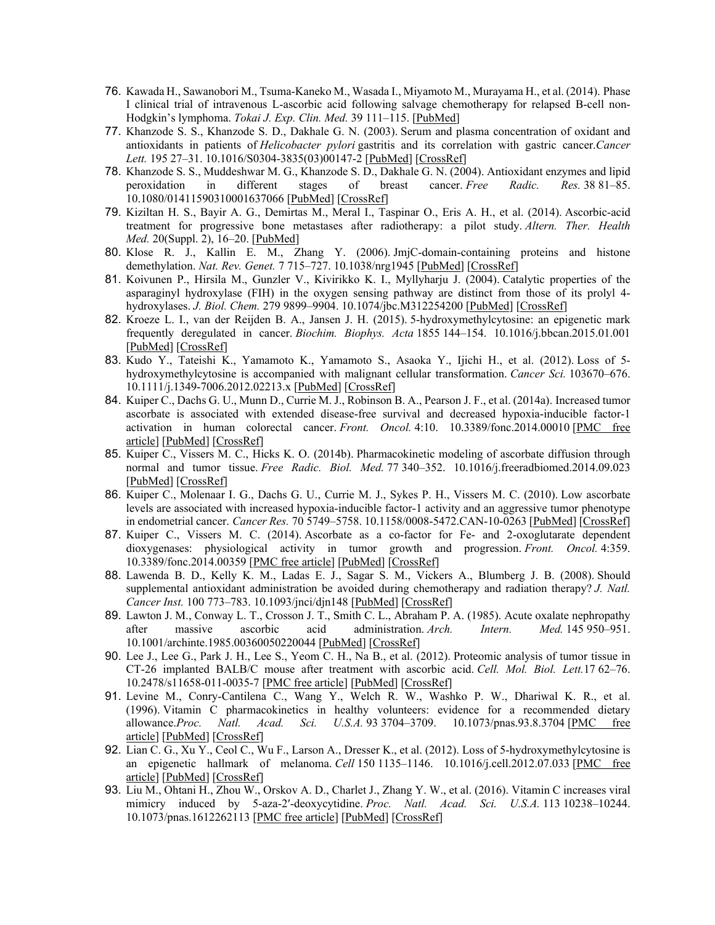- 76. Kawada H., Sawanobori M., Tsuma-Kaneko M., Wasada I., Miyamoto M., Murayama H., et al. (2014). Phase I clinical trial of intravenous L-ascorbic acid following salvage chemotherapy for relapsed B-cell non-Hodgkin's lymphoma. *Tokai J. Exp. Clin. Med.* 39 111–115. [\[PubMed\]](https://www.ncbi.nlm.nih.gov/pubmed/25248425)
- 77. Khanzode S. S., Khanzode S. D., Dakhale G. N. (2003). Serum and plasma concentration of oxidant and antioxidants in patients of *Helicobacter pylori* gastritis and its correlation with gastric cancer.*Cancer*  Lett. 195 27-31. 10.1016/S0304-3835(03)00147-2 [\[PubMed\]](https://www.ncbi.nlm.nih.gov/pubmed/12767508) [\[CrossRef\]](https://dx.doi.org/10.1016%2FS0304-3835(03)00147-2)
- 78. Khanzode S. S., Muddeshwar M. G., Khanzode S. D., Dakhale G. N. (2004). Antioxidant enzymes and lipid peroxidation in different stages of breast cancer. *Free Radic. Res.* 38 81–85. 10.1080/01411590310001637066 [\[PubMed\]](https://www.ncbi.nlm.nih.gov/pubmed/15061657) [\[CrossRef\]](https://dx.doi.org/10.1080%2F01411590310001637066)
- 79. Kiziltan H. S., Bayir A. G., Demirtas M., Meral I., Taspinar O., Eris A. H., et al. (2014). Ascorbic-acid treatment for progressive bone metastases after radiotherapy: a pilot study. *Altern. Ther. Health Med.* 20(Suppl. 2), 16–20. [\[PubMed\]](https://www.ncbi.nlm.nih.gov/pubmed/25362213)
- 80. Klose R. J., Kallin E. M., Zhang Y. (2006). JmjC-domain-containing proteins and histone demethylation. *Nat. Rev. Genet.* 7 715–727. 10.1038/nrg1945 [\[PubMed\]](https://www.ncbi.nlm.nih.gov/pubmed/16983801) [\[CrossRef\]](https://dx.doi.org/10.1038%2Fnrg1945)
- 81. Koivunen P., Hirsila M., Gunzler V., Kivirikko K. I., Myllyharju J. (2004). Catalytic properties of the asparaginyl hydroxylase (FIH) in the oxygen sensing pathway are distinct from those of its prolyl 4 hydroxylases. *J. Biol. Chem.* 279 9899–9904. 10.1074/jbc.M312254200 [\[PubMed\]](https://www.ncbi.nlm.nih.gov/pubmed/14701857) [\[CrossRef\]](https://dx.doi.org/10.1074%2Fjbc.M312254200)
- 82. Kroeze L. I., van der Reijden B. A., Jansen J. H. (2015). 5-hydroxymethylcytosine: an epigenetic mark frequently deregulated in cancer. *Biochim. Biophys. Acta* 1855 144–154. 10.1016/j.bbcan.2015.01.001 [\[PubMed\]](https://www.ncbi.nlm.nih.gov/pubmed/25579174) [\[CrossRef\]](https://dx.doi.org/10.1016%2Fj.bbcan.2015.01.001)
- 83. Kudo Y., Tateishi K., Yamamoto K., Yamamoto S., Asaoka Y., Ijichi H., et al. (2012). Loss of 5 hydroxymethylcytosine is accompanied with malignant cellular transformation. *Cancer Sci.* 103670–676. 10.1111/j.1349-7006.2012.02213.x [\[PubMed\]](https://www.ncbi.nlm.nih.gov/pubmed/22320381) [\[CrossRef\]](https://dx.doi.org/10.1111%2Fj.1349-7006.2012.02213.x)
- 84. Kuiper C., Dachs G. U., Munn D., Currie M. J., Robinson B. A., Pearson J. F., et al. (2014a). Increased tumor ascorbate is associated with extended disease-free survival and decreased hypoxia-inducible factor-1 activation in human colorectal cancer. *Front. Oncol.* 4:10. 10.3389/fonc.2014.00010 [\[PMC free](https://www.ncbi.nlm.nih.gov/pmc/articles/PMC3912592/)  [article\]](https://www.ncbi.nlm.nih.gov/pmc/articles/PMC3912592/) [\[PubMed\]](https://www.ncbi.nlm.nih.gov/pubmed/24551593) [\[CrossRef\]](https://dx.doi.org/10.3389%2Ffonc.2014.00010)
- 85. Kuiper C., Vissers M. C., Hicks K. O. (2014b). Pharmacokinetic modeling of ascorbate diffusion through normal and tumor tissue. *Free Radic. Biol. Med.* 77 340–352. 10.1016/j.freeradbiomed.2014.09.023 [\[PubMed\]](https://www.ncbi.nlm.nih.gov/pubmed/25277418) [\[CrossRef\]](https://dx.doi.org/10.1016%2Fj.freeradbiomed.2014.09.023)
- 86. Kuiper C., Molenaar I. G., Dachs G. U., Currie M. J., Sykes P. H., Vissers M. C. (2010). Low ascorbate levels are associated with increased hypoxia-inducible factor-1 activity and an aggressive tumor phenotype in endometrial cancer. *Cancer Res.* 70 5749–5758. 10.1158/0008-5472.CAN-10-0263 [\[PubMed\]](https://www.ncbi.nlm.nih.gov/pubmed/20570889) [\[CrossRef\]](https://dx.doi.org/10.1158%2F0008-5472.CAN-10-0263)
- 87. Kuiper C., Vissers M. C. (2014). Ascorbate as a co-factor for Fe- and 2-oxoglutarate dependent dioxygenases: physiological activity in tumor growth and progression. *Front. Oncol.* 4:359. 10.3389/fonc.2014.00359 [\[PMC free article\]](https://www.ncbi.nlm.nih.gov/pmc/articles/PMC4261134/) [\[PubMed\]](https://www.ncbi.nlm.nih.gov/pubmed/25540771) [\[CrossRef\]](https://dx.doi.org/10.3389%2Ffonc.2014.00359)
- 88. Lawenda B. D., Kelly K. M., Ladas E. J., Sagar S. M., Vickers A., Blumberg J. B. (2008). Should supplemental antioxidant administration be avoided during chemotherapy and radiation therapy? *J. Natl. Cancer Inst.* 100 773–783. 10.1093/jnci/djn148 [\[PubMed\]](https://www.ncbi.nlm.nih.gov/pubmed/18505970) [\[CrossRef\]](https://dx.doi.org/10.1093%2Fjnci%2Fdjn148)
- 89. Lawton J. M., Conway L. T., Crosson J. T., Smith C. L., Abraham P. A. (1985). Acute oxalate nephropathy after massive ascorbic acid administration. *Arch. Intern. Med.* 145 950–951. 10.1001/archinte.1985.00360050220044 [\[PubMed\]](https://www.ncbi.nlm.nih.gov/pubmed/3994472) [\[CrossRef\]](https://dx.doi.org/10.1001%2Farchinte.1985.00360050220044)
- 90. Lee J., Lee G., Park J. H., Lee S., Yeom C. H., Na B., et al. (2012). Proteomic analysis of tumor tissue in CT-26 implanted BALB/C mouse after treatment with ascorbic acid. *Cell. Mol. Biol. Lett.*17 62–76. 10.2478/s11658-011-0035-7 [\[PMC free article\]](https://www.ncbi.nlm.nih.gov/pmc/articles/PMC6275792/) [\[PubMed\]](https://www.ncbi.nlm.nih.gov/pubmed/22139585) [\[CrossRef\]](https://dx.doi.org/10.2478%2Fs11658-011-0035-7)
- 91. Levine M., Conry-Cantilena C., Wang Y., Welch R. W., Washko P. W., Dhariwal K. R., et al. (1996). Vitamin C pharmacokinetics in healthy volunteers: evidence for a recommended dietary allowance.*Proc. Natl. Acad. Sci. U.S.A.* 93 3704–3709. 10.1073/pnas.93.8.3704 [\[PMC free](https://www.ncbi.nlm.nih.gov/pmc/articles/PMC39676/)  [article\]](https://www.ncbi.nlm.nih.gov/pmc/articles/PMC39676/) [\[PubMed\]](https://www.ncbi.nlm.nih.gov/pubmed/8623000) [\[CrossRef\]](https://dx.doi.org/10.1073%2Fpnas.93.8.3704)
- 92. Lian C. G., Xu Y., Ceol C., Wu F., Larson A., Dresser K., et al. (2012). Loss of 5-hydroxymethylcytosine is an epigenetic hallmark of melanoma. *Cell* 150 1135–1146. 10.1016/j.cell.2012.07.033 [\[PMC free](https://www.ncbi.nlm.nih.gov/pmc/articles/PMC3770275/)  [article\]](https://www.ncbi.nlm.nih.gov/pmc/articles/PMC3770275/) [\[PubMed\]](https://www.ncbi.nlm.nih.gov/pubmed/22980977) [\[CrossRef\]](https://dx.doi.org/10.1016%2Fj.cell.2012.07.033)
- 93. Liu M., Ohtani H., Zhou W., Orskov A. D., Charlet J., Zhang Y. W., et al. (2016). Vitamin C increases viral mimicry induced by 5-aza-2′-deoxycytidine. *Proc. Natl. Acad. Sci. U.S.A.* 113 10238–10244. 10.1073/pnas.1612262113 [\[PMC free article\]](https://www.ncbi.nlm.nih.gov/pmc/articles/PMC5027469/) [\[PubMed\]](https://www.ncbi.nlm.nih.gov/pubmed/27573823) [\[CrossRef\]](https://dx.doi.org/10.1073%2Fpnas.1612262113)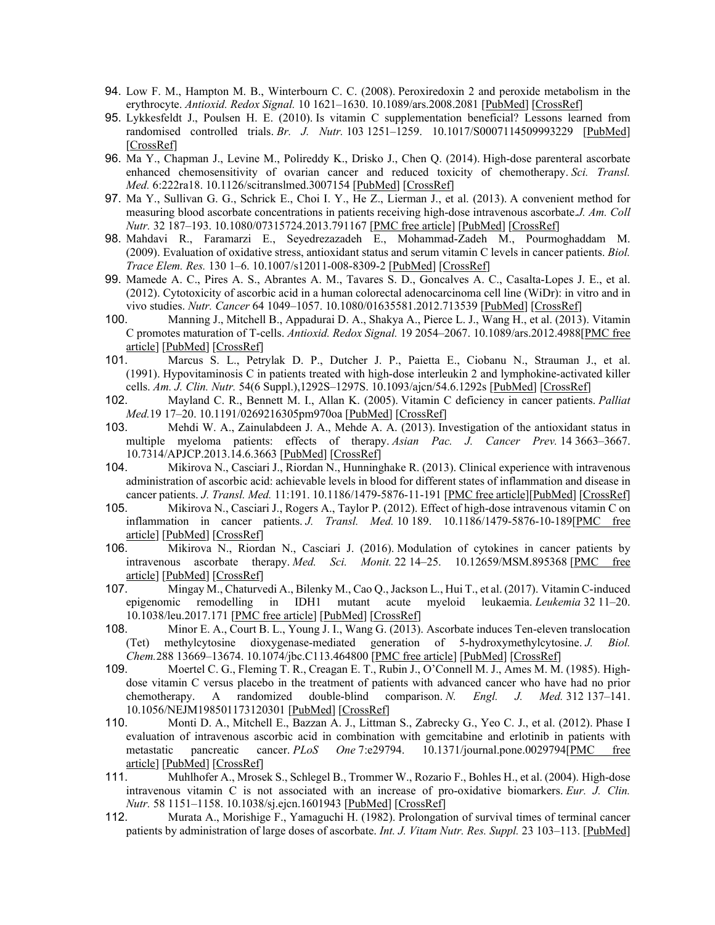- 94. Low F. M., Hampton M. B., Winterbourn C. C. (2008). Peroxiredoxin 2 and peroxide metabolism in the erythrocyte. *Antioxid. Redox Signal.* 10 1621–1630. 10.1089/ars.2008.2081 [\[PubMed\]](https://www.ncbi.nlm.nih.gov/pubmed/18479207) [\[CrossRef\]](https://dx.doi.org/10.1089%2Fars.2008.2081)
- 95. Lykkesfeldt J., Poulsen H. E. (2010). Is vitamin C supplementation beneficial? Lessons learned from randomised controlled trials. *Br. J. Nutr.* 103 1251–1259. 10.1017/S0007114509993229 [\[PubMed\]](https://www.ncbi.nlm.nih.gov/pubmed/20003627) [\[CrossRef\]](https://dx.doi.org/10.1017%2FS0007114509993229)
- 96. Ma Y., Chapman J., Levine M., Polireddy K., Drisko J., Chen Q. (2014). High-dose parenteral ascorbate enhanced chemosensitivity of ovarian cancer and reduced toxicity of chemotherapy. *Sci. Transl. Med.* 6:222ra18. 10.1126/scitranslmed.3007154 [\[PubMed\]](https://www.ncbi.nlm.nih.gov/pubmed/24500406) [\[CrossRef\]](https://dx.doi.org/10.1126%2Fscitranslmed.3007154)
- 97. Ma Y., Sullivan G. G., Schrick E., Choi I. Y., He Z., Lierman J., et al. (2013). A convenient method for measuring blood ascorbate concentrations in patients receiving high-dose intravenous ascorbate.*J. Am. Coll Nutr.* 32 187–193. 10.1080/07315724.2013.791167 [\[PMC free article\]](https://www.ncbi.nlm.nih.gov/pmc/articles/PMC3725640/) [\[PubMed\]](https://www.ncbi.nlm.nih.gov/pubmed/23885992) [\[CrossRef\]](https://dx.doi.org/10.1080%2F07315724.2013.791167)
- 98. Mahdavi R., Faramarzi E., Seyedrezazadeh E., Mohammad-Zadeh M., Pourmoghaddam M. (2009). Evaluation of oxidative stress, antioxidant status and serum vitamin C levels in cancer patients. *Biol. Trace Elem. Res.* 130 1–6. 10.1007/s12011-008-8309-2 [\[PubMed\]](https://www.ncbi.nlm.nih.gov/pubmed/19148586) [\[CrossRef\]](https://dx.doi.org/10.1007%2Fs12011-008-8309-2)
- 99. Mamede A. C., Pires A. S., Abrantes A. M., Tavares S. D., Goncalves A. C., Casalta-Lopes J. E., et al. (2012). Cytotoxicity of ascorbic acid in a human colorectal adenocarcinoma cell line (WiDr): in vitro and in vivo studies. *Nutr. Cancer* 64 1049–1057. 10.1080/01635581.2012.713539 [\[PubMed\]](https://www.ncbi.nlm.nih.gov/pubmed/22974001) [\[CrossRef\]](https://dx.doi.org/10.1080%2F01635581.2012.713539)
- 100. Manning J., Mitchell B., Appadurai D. A., Shakya A., Pierce L. J., Wang H., et al. (2013). Vitamin C promotes maturation of T-cells. *Antioxid. Redox Signal.* 19 2054–2067. 10.1089/ars.2012.4988[\[PMC free](https://www.ncbi.nlm.nih.gov/pmc/articles/PMC3869442/)  [article\]](https://www.ncbi.nlm.nih.gov/pmc/articles/PMC3869442/) [\[PubMed\]](https://www.ncbi.nlm.nih.gov/pubmed/23249337) [\[CrossRef\]](https://dx.doi.org/10.1089%2Fars.2012.4988)
- 101. Marcus S. L., Petrylak D. P., Dutcher J. P., Paietta E., Ciobanu N., Strauman J., et al. (1991). Hypovitaminosis C in patients treated with high-dose interleukin 2 and lymphokine-activated killer cells. *Am. J. Clin. Nutr.* 54(6 Suppl.),1292S–1297S. 10.1093/ajcn/54.6.1292s [\[PubMed\]](https://www.ncbi.nlm.nih.gov/pubmed/1962585) [\[CrossRef\]](https://dx.doi.org/10.1093%2Fajcn%2F54.6.1292s)
- 102. Mayland C. R., Bennett M. I., Allan K. (2005). Vitamin C deficiency in cancer patients. *Palliat Med.*19 17–20. 10.1191/0269216305pm970oa [\[PubMed\]](https://www.ncbi.nlm.nih.gov/pubmed/15690864) [\[CrossRef\]](https://dx.doi.org/10.1191%2F0269216305pm970oa)
- 103. Mehdi W. A., Zainulabdeen J. A., Mehde A. A. (2013). Investigation of the antioxidant status in multiple myeloma patients: effects of therapy. *Asian Pac. J. Cancer Prev.* 14 3663–3667. 10.7314/APJCP.2013.14.6.3663 [\[PubMed\]](https://www.ncbi.nlm.nih.gov/pubmed/23886162) [\[CrossRef\]](https://dx.doi.org/10.7314%2FAPJCP.2013.14.6.3663)
- 104. Mikirova N., Casciari J., Riordan N., Hunninghake R. (2013). Clinical experience with intravenous administration of ascorbic acid: achievable levels in blood for different states of inflammation and disease in cancer patients. *J. Transl. Med.* 11:191. 10.1186/1479-5876-11-191 [\[PMC free article\]](https://www.ncbi.nlm.nih.gov/pmc/articles/PMC3751545/)[\[PubMed\]](https://www.ncbi.nlm.nih.gov/pubmed/23947403) [\[CrossRef\]](https://dx.doi.org/10.1186%2F1479-5876-11-191)<br>105. Mikirova N., Casciari J., Rogers A., Taylor P. (2012). Effect of high-dose intravenous vitamin C on
- Mikirova N., Casciari J., Rogers A., Taylor P. (2012). Effect of high-dose intravenous vitamin C on inflammation in cancer patients. *J. Transl. Med.* 10 189. 10.1186/1479-5876-10-189[\[PMC free](https://www.ncbi.nlm.nih.gov/pmc/articles/PMC3480897/)  [article\]](https://www.ncbi.nlm.nih.gov/pmc/articles/PMC3480897/) [\[PubMed\]](https://www.ncbi.nlm.nih.gov/pubmed/22963460) [\[CrossRef\]](https://dx.doi.org/10.1186%2F1479-5876-10-189)<br>106. Mikirova N., Riord
- 106. Mikirova N., Riordan N., Casciari J. (2016). Modulation of cytokines in cancer patients by intravenous ascorbate therapy. *Med. Sci. Monit.* 22 14–25. 10.12659/MSM.895368 [\[PMC free](https://www.ncbi.nlm.nih.gov/pmc/articles/PMC4756791/)  [article\]](https://www.ncbi.nlm.nih.gov/pmc/articles/PMC4756791/) [\[PubMed\]](https://www.ncbi.nlm.nih.gov/pubmed/26724916) [\[CrossRef\]](https://dx.doi.org/10.12659%2FMSM.895368)
- 107. Mingay M., Chaturvedi A., Bilenky M., Cao Q., Jackson L., Hui T., et al. (2017). Vitamin C-induced epigenomic remodelling in IDH1 mutant acute myeloid leukaemia. *Leukemia* 32 11–20. 10.1038/leu.2017.171 [\[PMC free article\]](https://www.ncbi.nlm.nih.gov/pmc/articles/PMC5770587/) [\[PubMed\]](https://www.ncbi.nlm.nih.gov/pubmed/28663574) [\[CrossRef\]](https://dx.doi.org/10.1038%2Fleu.2017.171)
- 108. Minor E. A., Court B. L., Young J. I., Wang G. (2013). Ascorbate induces Ten-eleven translocation (Tet) methylcytosine dioxygenase-mediated generation of 5-hydroxymethylcytosine. *J. Biol. Chem.*288 13669–13674. 10.1074/jbc.C113.464800 [\[PMC free article\]](https://www.ncbi.nlm.nih.gov/pmc/articles/PMC3650403/) [\[PubMed\]](https://www.ncbi.nlm.nih.gov/pubmed/23548903) [\[CrossRef\]](https://dx.doi.org/10.1074%2Fjbc.C113.464800)
- 109. Moertel C. G., Fleming T. R., Creagan E. T., Rubin J., O'Connell M. J., Ames M. M. (1985). Highdose vitamin C versus placebo in the treatment of patients with advanced cancer who have had no prior chemotherapy. A randomized double-blind comparison. *N. Engl. J. Med.* 312 137–141. 10.1056/NEJM198501173120301 [\[PubMed\]](https://www.ncbi.nlm.nih.gov/pubmed/3880867) [\[CrossRef\]](https://dx.doi.org/10.1056%2FNEJM198501173120301)
- 110. Monti D. A., Mitchell E., Bazzan A. J., Littman S., Zabrecky G., Yeo C. J., et al. (2012). Phase I evaluation of intravenous ascorbic acid in combination with gemcitabine and erlotinib in patients with metastatic pancreatic cancer. *PLoS One* 7:e29794. 10.1371/journal.pone.0029794[\[PMC free](https://www.ncbi.nlm.nih.gov/pmc/articles/PMC3260161/)  [article\]](https://www.ncbi.nlm.nih.gov/pmc/articles/PMC3260161/) [\[PubMed\]](https://www.ncbi.nlm.nih.gov/pubmed/22272248) [\[CrossRef\]](https://dx.doi.org/10.1371%2Fjournal.pone.0029794)
- 111. Muhlhofer A., Mrosek S., Schlegel B., Trommer W., Rozario F., Bohles H., et al. (2004). High-dose intravenous vitamin C is not associated with an increase of pro-oxidative biomarkers. *Eur. J. Clin. Nutr.* 58 1151–1158. 10.1038/sj.ejcn.1601943 [\[PubMed\]](https://www.ncbi.nlm.nih.gov/pubmed/15054428) [\[CrossRef\]](https://dx.doi.org/10.1038%2Fsj.ejcn.1601943)
- 112. Murata A., Morishige F., Yamaguchi H. (1982). Prolongation of survival times of terminal cancer patients by administration of large doses of ascorbate. *Int. J. Vitam Nutr. Res. Suppl.* 23 103–113. [\[PubMed\]](https://www.ncbi.nlm.nih.gov/pubmed/6811475)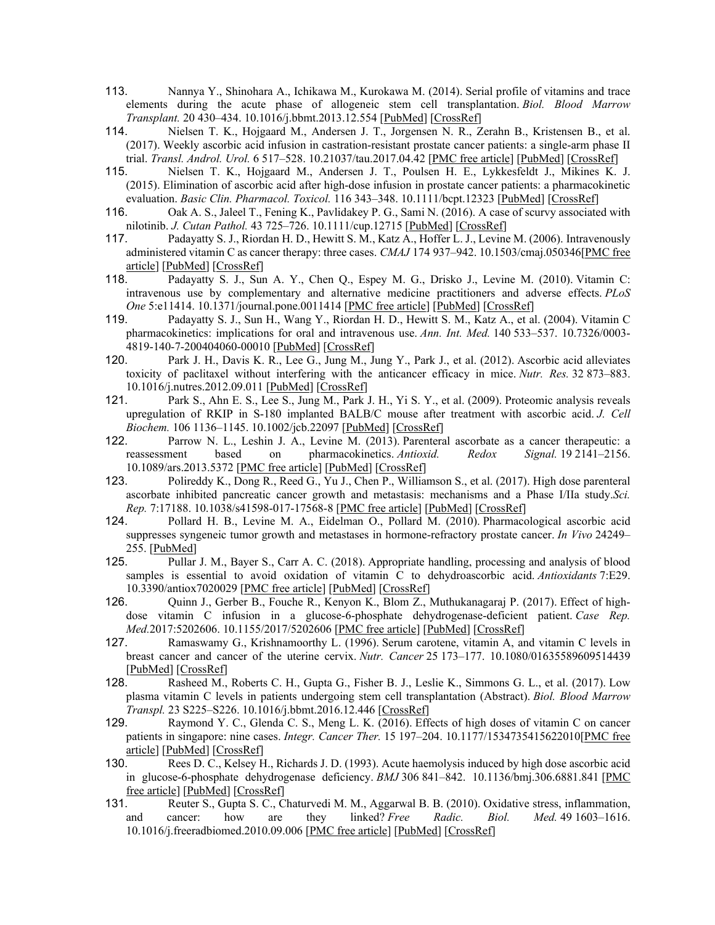- 113. Nannya Y., Shinohara A., Ichikawa M., Kurokawa M. (2014). Serial profile of vitamins and trace elements during the acute phase of allogeneic stem cell transplantation. *Biol. Blood Marrow Transplant.* 20 430–434. 10.1016/j.bbmt.2013.12.554 [\[PubMed\]](https://www.ncbi.nlm.nih.gov/pubmed/24333749) [\[CrossRef\]](https://dx.doi.org/10.1016%2Fj.bbmt.2013.12.554)
- 114. Nielsen T. K., Hojgaard M., Andersen J. T., Jorgensen N. R., Zerahn B., Kristensen B., et al. (2017). Weekly ascorbic acid infusion in castration-resistant prostate cancer patients: a single-arm phase II trial. *Transl. Androl. Urol.* 6 517–528. 10.21037/tau.2017.04.42 [\[PMC free article\]](https://www.ncbi.nlm.nih.gov/pmc/articles/PMC5503969/) [\[PubMed\]](https://www.ncbi.nlm.nih.gov/pubmed/28725594) [\[CrossRef\]](https://dx.doi.org/10.21037%2Ftau.2017.04.42)
- 115. Nielsen T. K., Hojgaard M., Andersen J. T., Poulsen H. E., Lykkesfeldt J., Mikines K. J. (2015). Elimination of ascorbic acid after high-dose infusion in prostate cancer patients: a pharmacokinetic evaluation. *Basic Clin. Pharmacol. Toxicol.* 116 343-348. 10.1111/bcpt.12323 [\[PubMed\]](https://www.ncbi.nlm.nih.gov/pubmed/25220574) [\[CrossRef\]](https://dx.doi.org/10.1111%2Fbcpt.12323)
- 116. Oak A. S., Jaleel T., Fening K., Pavlidakey P. G., Sami N. (2016). A case of scurvy associated with nilotinib. *J. Cutan Pathol.* 43 725–726. 10.1111/cup.12715 [\[PubMed\]](https://www.ncbi.nlm.nih.gov/pubmed/27124705) [\[CrossRef\]](https://dx.doi.org/10.1111%2Fcup.12715) 117. Padayatty S. J., Riordan H. D., Hewitt S. M., Katz A., Hoffer L. J., Levine
- 117. Padayatty S. J., Riordan H. D., Hewitt S. M., Katz A., Hoffer L. J., Levine M. (2006). Intravenously administered vitamin C as cancer therapy: three cases. *CMAJ* 174 937–942. 10.1503/cmaj.050346[\[PMC free](https://www.ncbi.nlm.nih.gov/pmc/articles/PMC1405876/)  [article\]](https://www.ncbi.nlm.nih.gov/pmc/articles/PMC1405876/) [\[PubMed\]](https://www.ncbi.nlm.nih.gov/pubmed/16567755) [\[CrossRef\]](https://dx.doi.org/10.1503%2Fcmaj.050346)<br>118. Padavatty S. J., Sur
- Padayatty S. J., Sun A. Y., Chen Q., Espey M. G., Drisko J., Levine M. (2010). Vitamin C: intravenous use by complementary and alternative medicine practitioners and adverse effects. *PLoS One* 5:e11414. 10.1371/journal.pone.0011414 [\[PMC free article\]](https://www.ncbi.nlm.nih.gov/pmc/articles/PMC2898816/) [\[PubMed\]](https://www.ncbi.nlm.nih.gov/pubmed/20628650) [\[CrossRef\]](https://dx.doi.org/10.1371%2Fjournal.pone.0011414)
- 119. Padayatty S. J., Sun H., Wang Y., Riordan H. D., Hewitt S. M., Katz A., et al. (2004). Vitamin C pharmacokinetics: implications for oral and intravenous use. *Ann. Int. Med.* 140 533–537. 10.7326/0003- 4819-140-7-200404060-00010 [\[PubMed\]](https://www.ncbi.nlm.nih.gov/pubmed/15068981) [\[CrossRef\]](https://dx.doi.org/10.7326%2F0003-4819-140-7-200404060-00010)
- 120. Park J. H., Davis K. R., Lee G., Jung M., Jung Y., Park J., et al. (2012). Ascorbic acid alleviates toxicity of paclitaxel without interfering with the anticancer efficacy in mice. *Nutr. Res.* 32 873–883. 10.1016/j.nutres.2012.09.011 [\[PubMed\]](https://www.ncbi.nlm.nih.gov/pubmed/23176798) [\[CrossRef\]](https://dx.doi.org/10.1016%2Fj.nutres.2012.09.011)
- 121. Park S., Ahn E. S., Lee S., Jung M., Park J. H., Yi S. Y., et al. (2009). Proteomic analysis reveals upregulation of RKIP in S-180 implanted BALB/C mouse after treatment with ascorbic acid. *J. Cell Biochem.* 106 1136–1145. 10.1002/jcb.22097 [\[PubMed\]](https://www.ncbi.nlm.nih.gov/pubmed/19224539) [\[CrossRef\]](https://dx.doi.org/10.1002%2Fjcb.22097)
- 122. Parrow N. L., Leshin J. A., Levine M. (2013). Parenteral ascorbate as a cancer therapeutic: a reassessment based on pharmacokinetics. *Antioxid. Redox Signal.* 19 2141–2156. 10.1089/ars.2013.5372 [\[PMC free article\]](https://www.ncbi.nlm.nih.gov/pmc/articles/PMC3869468/) [\[PubMed\]](https://www.ncbi.nlm.nih.gov/pubmed/23621620) [\[CrossRef\]](https://dx.doi.org/10.1089%2Fars.2013.5372)
- 123. Polireddy K., Dong R., Reed G., Yu J., Chen P., Williamson S., et al. (2017). High dose parenteral ascorbate inhibited pancreatic cancer growth and metastasis: mechanisms and a Phase I/IIa study.*Sci. Rep.* 7:17188. 10.1038/s41598-017-17568-8 [\[PMC free article\]](https://www.ncbi.nlm.nih.gov/pmc/articles/PMC5719364/) [\[PubMed\]](https://www.ncbi.nlm.nih.gov/pubmed/29215048) [\[CrossRef\]](https://dx.doi.org/10.1038%2Fs41598-017-17568-8)
- 124. Pollard H. B., Levine M. A., Eidelman O., Pollard M. (2010). Pharmacological ascorbic acid suppresses syngeneic tumor growth and metastases in hormone-refractory prostate cancer. *In Vivo* 24249– 255. [\[PubMed\]](https://www.ncbi.nlm.nih.gov/pubmed/20554995)
- 125. Pullar J. M., Bayer S., Carr A. C. (2018). Appropriate handling, processing and analysis of blood samples is essential to avoid oxidation of vitamin C to dehydroascorbic acid. *Antioxidants* 7:E29. 10.3390/antiox7020029 [\[PMC free article\]](https://www.ncbi.nlm.nih.gov/pmc/articles/PMC5836019/) [\[PubMed\]](https://www.ncbi.nlm.nih.gov/pubmed/29439480) [\[CrossRef\]](https://dx.doi.org/10.3390%2Fantiox7020029)
- 126. Quinn J., Gerber B., Fouche R., Kenyon K., Blom Z., Muthukanagaraj P. (2017). Effect of highdose vitamin C infusion in a glucose-6-phosphate dehydrogenase-deficient patient. *Case Rep. Med.*2017:5202606. 10.1155/2017/5202606 [\[PMC free article\]](https://www.ncbi.nlm.nih.gov/pmc/articles/PMC5727655/) [\[PubMed\]](https://www.ncbi.nlm.nih.gov/pubmed/29317868) [\[CrossRef\]](https://dx.doi.org/10.1155%2F2017%2F5202606)
- 127. Ramaswamy G., Krishnamoorthy L. (1996). Serum carotene, vitamin A, and vitamin C levels in breast cancer and cancer of the uterine cervix. *Nutr. Cancer* 25 173–177. 10.1080/01635589609514439 [\[PubMed\]](https://www.ncbi.nlm.nih.gov/pubmed/8710686) [\[CrossRef\]](https://dx.doi.org/10.1080%2F01635589609514439)
- 128. Rasheed M., Roberts C. H., Gupta G., Fisher B. J., Leslie K., Simmons G. L., et al. (2017). Low plasma vitamin C levels in patients undergoing stem cell transplantation (Abstract). *Biol. Blood Marrow Transpl.* 23 S225–S226. 10.1016/j.bbmt.2016.12.446 [\[CrossRef\]](https://dx.doi.org/10.1016%2Fj.bbmt.2016.12.446)
- 129. Raymond Y. C., Glenda C. S., Meng L. K. (2016). Effects of high doses of vitamin C on cancer patients in singapore: nine cases. *Integr. Cancer Ther.* 15 197–204. 10.1177/1534735415622010[\[PMC free](https://www.ncbi.nlm.nih.gov/pmc/articles/PMC5736057/)  [article\]](https://www.ncbi.nlm.nih.gov/pmc/articles/PMC5736057/) [\[PubMed\]](https://www.ncbi.nlm.nih.gov/pubmed/26679971) [\[CrossRef\]](https://dx.doi.org/10.1177%2F1534735415622010)
- 130. Rees D. C., Kelsey H., Richards J. D. (1993). Acute haemolysis induced by high dose ascorbic acid in glucose-6-phosphate dehydrogenase deficiency. *BMJ* 306 841–842. 10.1136/bmj.306.6881.841 [\[PMC](https://www.ncbi.nlm.nih.gov/pmc/articles/PMC1677333/)  [free article\]](https://www.ncbi.nlm.nih.gov/pmc/articles/PMC1677333/) [\[PubMed\]](https://www.ncbi.nlm.nih.gov/pubmed/8490379) [\[CrossRef\]](https://dx.doi.org/10.1136%2Fbmj.306.6881.841)
- 131. Reuter S., Gupta S. C., Chaturvedi M. M., Aggarwal B. B. (2010). Oxidative stress, inflammation, and cancer: how are they linked? *Free Radic. Biol. Med.* 49 1603–1616. 10.1016/j.freeradbiomed.2010.09.006 [\[PMC free article\]](https://www.ncbi.nlm.nih.gov/pmc/articles/PMC2990475/) [\[PubMed\]](https://www.ncbi.nlm.nih.gov/pubmed/20840865) [\[CrossRef\]](https://dx.doi.org/10.1016%2Fj.freeradbiomed.2010.09.006)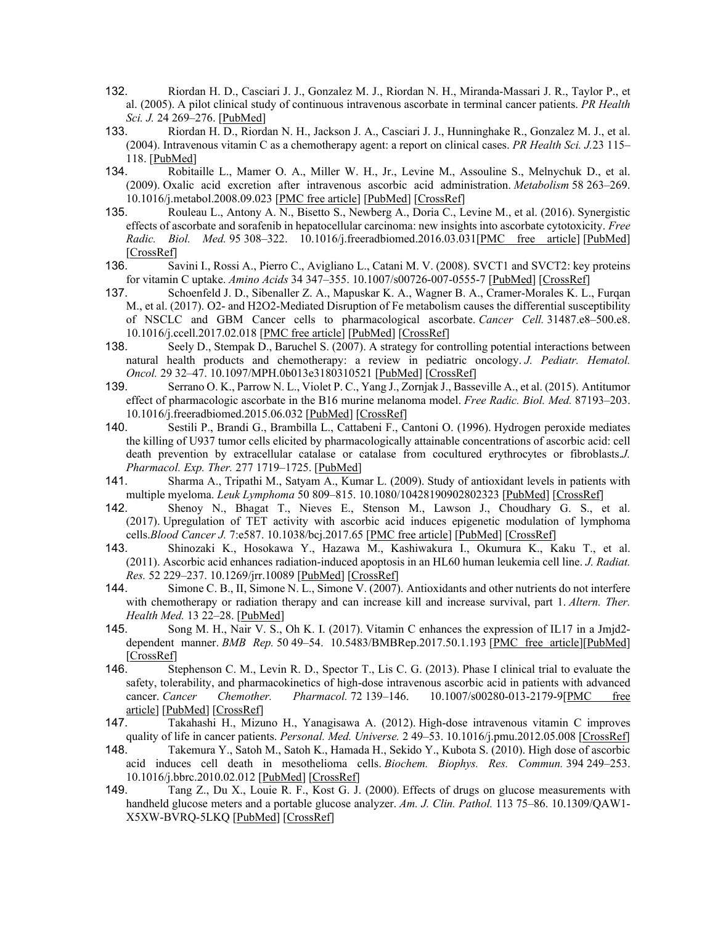- 132. Riordan H. D., Casciari J. J., Gonzalez M. J., Riordan N. H., Miranda-Massari J. R., Taylor P., et al. (2005). A pilot clinical study of continuous intravenous ascorbate in terminal cancer patients. *PR Health Sci. J.* 24 269–276. [\[PubMed\]](https://www.ncbi.nlm.nih.gov/pubmed/16570523)
- 133. Riordan H. D., Riordan N. H., Jackson J. A., Casciari J. J., Hunninghake R., Gonzalez M. J., et al. (2004). Intravenous vitamin C as a chemotherapy agent: a report on clinical cases. *PR Health Sci. J.*23 115– 118. [\[PubMed\]](https://www.ncbi.nlm.nih.gov/pubmed/15377059)
- 134. Robitaille L., Mamer O. A., Miller W. H., Jr., Levine M., Assouline S., Melnychuk D., et al. (2009). Oxalic acid excretion after intravenous ascorbic acid administration. *Metabolism* 58 263–269. 10.1016/j.metabol.2008.09.023 [\[PMC free article\]](https://www.ncbi.nlm.nih.gov/pmc/articles/PMC3482487/) [\[PubMed\]](https://www.ncbi.nlm.nih.gov/pubmed/19154961) [\[CrossRef\]](https://dx.doi.org/10.1016%2Fj.metabol.2008.09.023)
- 135. Rouleau L., Antony A. N., Bisetto S., Newberg A., Doria C., Levine M., et al. (2016). Synergistic effects of ascorbate and sorafenib in hepatocellular carcinoma: new insights into ascorbate cytotoxicity. *Free Radic. Biol. Med.* 95 308–322. 10.1016/j.freeradbiomed.2016.03.031[\[PMC free article\]](https://www.ncbi.nlm.nih.gov/pmc/articles/PMC4867251/) [\[PubMed\]](https://www.ncbi.nlm.nih.gov/pubmed/27036367) [\[CrossRef\]](https://dx.doi.org/10.1016%2Fj.freeradbiomed.2016.03.031)
- 136. Savini I., Rossi A., Pierro C., Avigliano L., Catani M. V. (2008). SVCT1 and SVCT2: key proteins for vitamin C uptake. *Amino Acids* 34 347–355. 10.1007/s00726-007-0555-7 [\[PubMed\]](https://www.ncbi.nlm.nih.gov/pubmed/17541511) [\[CrossRef\]](https://dx.doi.org/10.1007%2Fs00726-007-0555-7)
- 137. Schoenfeld J. D., Sibenaller Z. A., Mapuskar K. A., Wagner B. A., Cramer-Morales K. L., Furqan M., et al. (2017). O2- and H2O2-Mediated Disruption of Fe metabolism causes the differential susceptibility of NSCLC and GBM Cancer cells to pharmacological ascorbate. *Cancer Cell.* 31487.e8–500.e8. 10.1016/j.ccell.2017.02.018 [\[PMC free article\]](https://www.ncbi.nlm.nih.gov/pmc/articles/PMC5497844/) [\[PubMed\]](https://www.ncbi.nlm.nih.gov/pubmed/28366679) [\[CrossRef\]](https://dx.doi.org/10.1016%2Fj.ccell.2017.02.018)
- 138. Seely D., Stempak D., Baruchel S. (2007). A strategy for controlling potential interactions between natural health products and chemotherapy: a review in pediatric oncology. *J. Pediatr. Hematol. Oncol.* 29 32–47. 10.1097/MPH.0b013e3180310521 [\[PubMed\]](https://www.ncbi.nlm.nih.gov/pubmed/17230065) [\[CrossRef\]](https://dx.doi.org/10.1097%2FMPH.0b013e3180310521)
- 139. Serrano O. K., Parrow N. L., Violet P. C., Yang J., Zornjak J., Basseville A., et al. (2015). Antitumor effect of pharmacologic ascorbate in the B16 murine melanoma model. *Free Radic. Biol. Med.* 87193–203. 10.1016/j.freeradbiomed.2015.06.032 [\[PubMed\]](https://www.ncbi.nlm.nih.gov/pubmed/26119785) [\[CrossRef\]](https://dx.doi.org/10.1016%2Fj.freeradbiomed.2015.06.032)
- 140. Sestili P., Brandi G., Brambilla L., Cattabeni F., Cantoni O. (1996). Hydrogen peroxide mediates the killing of U937 tumor cells elicited by pharmacologically attainable concentrations of ascorbic acid: cell death prevention by extracellular catalase or catalase from cocultured erythrocytes or fibroblasts.*J. Pharmacol. Exp. Ther.* 277 1719–1725. [\[PubMed\]](https://www.ncbi.nlm.nih.gov/pubmed/8667243)
- 141. Sharma A., Tripathi M., Satyam A., Kumar L. (2009). Study of antioxidant levels in patients with multiple myeloma. *Leuk Lymphoma* 50 809–815. 10.1080/10428190902802323 [\[PubMed\]](https://www.ncbi.nlm.nih.gov/pubmed/19452319) [\[CrossRef\]](https://dx.doi.org/10.1080%2F10428190902802323)
- 142. Shenoy N., Bhagat T., Nieves E., Stenson M., Lawson J., Choudhary G. S., et al. (2017). Upregulation of TET activity with ascorbic acid induces epigenetic modulation of lymphoma cells.*Blood Cancer J.* 7:e587. 10.1038/bcj.2017.65 [\[PMC free article\]](https://www.ncbi.nlm.nih.gov/pmc/articles/PMC5549257/) [\[PubMed\]](https://www.ncbi.nlm.nih.gov/pubmed/28731456) [\[CrossRef\]](https://dx.doi.org/10.1038%2Fbcj.2017.65)
- 143. Shinozaki K., Hosokawa Y., Hazawa M., Kashiwakura I., Okumura K., Kaku T., et al. (2011). Ascorbic acid enhances radiation-induced apoptosis in an HL60 human leukemia cell line. *J. Radiat. Res.* 52 229–237. 10.1269/jrr.10089 [\[PubMed\]](https://www.ncbi.nlm.nih.gov/pubmed/21343676) [\[CrossRef\]](https://dx.doi.org/10.1269%2Fjrr.10089)
- 144. Simone C. B., II, Simone N. L., Simone V. (2007). Antioxidants and other nutrients do not interfere with chemotherapy or radiation therapy and can increase kill and increase survival, part 1. *Altern. Ther. Health Med.* 13 22–28. [\[PubMed\]](https://www.ncbi.nlm.nih.gov/pubmed/17283738)
- 145. Song M. H., Nair V. S., Oh K. I. (2017). Vitamin C enhances the expression of IL17 in a Jmjd2 dependent manner. *BMB Rep.* 50 49-54. 10.5483/BMBRep.2017.50.1.193 [\[PMC free article\]](https://www.ncbi.nlm.nih.gov/pmc/articles/PMC5319665/)[\[PubMed\]](https://www.ncbi.nlm.nih.gov/pubmed/27931518) [\[CrossRef\]](https://dx.doi.org/10.5483%2FBMBRep.2017.50.1.193)
- 146. Stephenson C. M., Levin R. D., Spector T., Lis C. G. (2013). Phase I clinical trial to evaluate the safety, tolerability, and pharmacokinetics of high-dose intravenous ascorbic acid in patients with advanced cancer. *Cancer Chemother. Pharmacol.* 72 139–146. 10.1007/s00280-013-2179-9[\[PMC free](https://www.ncbi.nlm.nih.gov/pmc/articles/PMC3691494/)  [article\]](https://www.ncbi.nlm.nih.gov/pmc/articles/PMC3691494/) [\[PubMed\]](https://www.ncbi.nlm.nih.gov/pubmed/23670640) [\[CrossRef\]](https://dx.doi.org/10.1007%2Fs00280-013-2179-9)
- 147. Takahashi H., Mizuno H., Yanagisawa A. (2012). High-dose intravenous vitamin C improves quality of life in cancer patients. *Personal. Med. Universe.* 2 49–53. 10.1016/j.pmu.2012.05.008 [\[CrossRef\]](https://dx.doi.org/10.1016%2Fj.pmu.2012.05.008)
- 148. Takemura Y., Satoh M., Satoh K., Hamada H., Sekido Y., Kubota S. (2010). High dose of ascorbic acid induces cell death in mesothelioma cells. *Biochem. Biophys. Res. Commun.* 394 249–253. 10.1016/j.bbrc.2010.02.012 [\[PubMed\]](https://www.ncbi.nlm.nih.gov/pubmed/20171954) [\[CrossRef\]](https://dx.doi.org/10.1016%2Fj.bbrc.2010.02.012)
- 149. Tang Z., Du X., Louie R. F., Kost G. J. (2000). Effects of drugs on glucose measurements with handheld glucose meters and a portable glucose analyzer. *Am. J. Clin. Pathol.* 113 75–86. 10.1309/QAW1- X5XW-BVRQ-5LKQ [\[PubMed\]](https://www.ncbi.nlm.nih.gov/pubmed/10631860) [\[CrossRef\]](https://dx.doi.org/10.1309%2FQAW1-X5XW-BVRQ-5LKQ)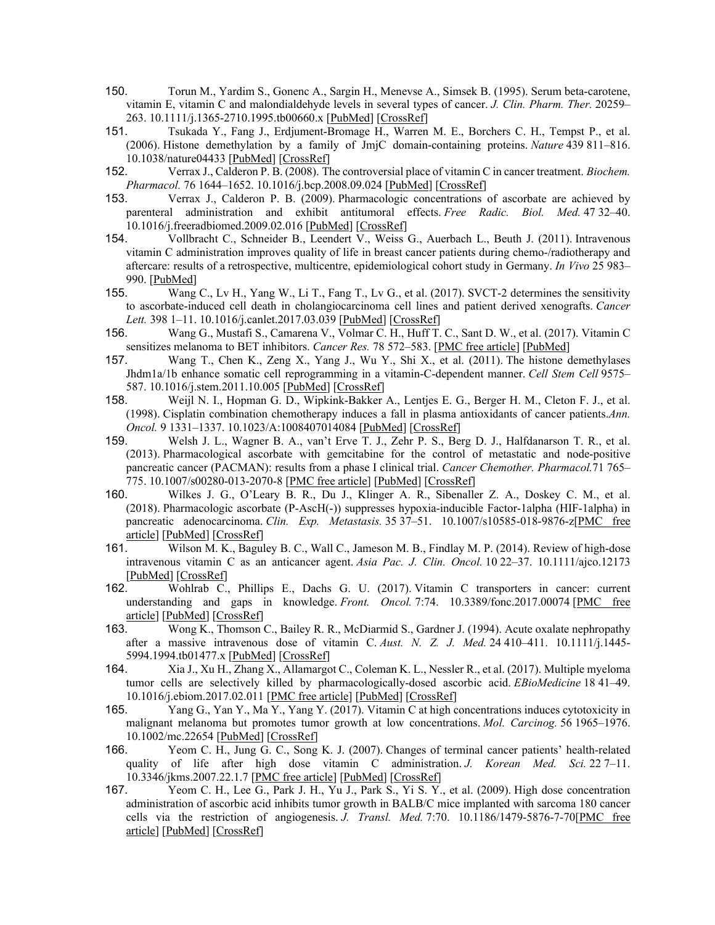- 150. Torun M., Yardim S., Gonenc A., Sargin H., Menevse A., Simsek B. (1995). Serum beta-carotene, vitamin E, vitamin C and malondialdehyde levels in several types of cancer. *J. Clin. Pharm. Ther.* 20259– 263. 10.1111/j.1365-2710.1995.tb00660.x [\[PubMed\]](https://www.ncbi.nlm.nih.gov/pubmed/8576292) [\[CrossRef\]](https://dx.doi.org/10.1111%2Fj.1365-2710.1995.tb00660.x)
- 151. Tsukada Y., Fang J., Erdjument-Bromage H., Warren M. E., Borchers C. H., Tempst P., et al. (2006). Histone demethylation by a family of JmjC domain-containing proteins. *Nature* 439 811–816. 10.1038/nature04433 [\[PubMed\]](https://www.ncbi.nlm.nih.gov/pubmed/16362057) [\[CrossRef\]](https://dx.doi.org/10.1038%2Fnature04433)
- 152. Verrax J., Calderon P. B. (2008). The controversial place of vitamin C in cancer treatment. *Biochem. Pharmacol.* 76 1644–1652. 10.1016/j.bcp.2008.09.024 [*PubMed]* [*CrossRef]* 153. Verrax J., Calderon P. B. (2009). Pharmacologic concentrations of
- Verrax J., Calderon P. B. (2009). Pharmacologic concentrations of ascorbate are achieved by parenteral administration and exhibit antitumoral effects. *Free Radic. Biol. Med.* 47 32–40. 10.1016/j.freeradbiomed.2009.02.016 [\[PubMed\]](https://www.ncbi.nlm.nih.gov/pubmed/19254759) [\[CrossRef\]](https://dx.doi.org/10.1016%2Fj.freeradbiomed.2009.02.016)
- 154. Vollbracht C., Schneider B., Leendert V., Weiss G., Auerbach L., Beuth J. (2011). Intravenous vitamin C administration improves quality of life in breast cancer patients during chemo-/radiotherapy and aftercare: results of a retrospective, multicentre, epidemiological cohort study in Germany. *In Vivo* 25 983– 990. [\[PubMed\]](https://www.ncbi.nlm.nih.gov/pubmed/22021693)
- 155. Wang C., Lv H., Yang W., Li T., Fang T., Lv G., et al. (2017). SVCT-2 determines the sensitivity to ascorbate-induced cell death in cholangiocarcinoma cell lines and patient derived xenografts. *Cancer Lett.* 398 1–11. 10.1016/j.canlet.2017.03.039 [\[PubMed\]](https://www.ncbi.nlm.nih.gov/pubmed/28385602) [\[CrossRef\]](https://dx.doi.org/10.1016%2Fj.canlet.2017.03.039)
- 156. Wang G., Mustafi S., Camarena V., Volmar C. H., Huff T. C., Sant D. W., et al. (2017). Vitamin C sensitizes melanoma to BET inhibitors. *Cancer Res.* 78 572-583. [\[PMC free article\]](https://www.ncbi.nlm.nih.gov/pmc/articles/PMC5771981/) [\[PubMed\]](https://www.ncbi.nlm.nih.gov/pubmed/29180474)
- 157. Wang T., Chen K., Zeng X., Yang J., Wu Y., Shi X., et al. (2011). The histone demethylases Jhdm1a/1b enhance somatic cell reprogramming in a vitamin-C-dependent manner. *Cell Stem Cell* 9575– 587. 10.1016/j.stem.2011.10.005 [\[PubMed\]](https://www.ncbi.nlm.nih.gov/pubmed/22100412) [\[CrossRef\]](https://dx.doi.org/10.1016%2Fj.stem.2011.10.005)
- 158. Weijl N. I., Hopman G. D., Wipkink-Bakker A., Lentjes E. G., Berger H. M., Cleton F. J., et al. (1998). Cisplatin combination chemotherapy induces a fall in plasma antioxidants of cancer patients.*Ann. Oncol.* 9 1331–1337. 10.1023/A:1008407014084 [\[PubMed\]](https://www.ncbi.nlm.nih.gov/pubmed/9932164) [\[CrossRef\]](https://dx.doi.org/10.1023%2FA%3A1008407014084)
- 159. Welsh J. L., Wagner B. A., van't Erve T. J., Zehr P. S., Berg D. J., Halfdanarson T. R., et al. (2013). Pharmacological ascorbate with gemcitabine for the control of metastatic and node-positive pancreatic cancer (PACMAN): results from a phase I clinical trial. *Cancer Chemother. Pharmacol.*71 765– 775. 10.1007/s00280-013-2070-8 [\[PMC free article\]](https://www.ncbi.nlm.nih.gov/pmc/articles/PMC3587047/) [\[PubMed\]](https://www.ncbi.nlm.nih.gov/pubmed/23381814) [\[CrossRef\]](https://dx.doi.org/10.1007%2Fs00280-013-2070-8)
- 160. Wilkes J. G., O'Leary B. R., Du J., Klinger A. R., Sibenaller Z. A., Doskey C. M., et al. (2018). Pharmacologic ascorbate (P-AscH(-)) suppresses hypoxia-inducible Factor-1alpha (HIF-1alpha) in pancreatic adenocarcinoma. *Clin. Exp. Metastasis.* 35 37–51. 10.1007/s10585-018-9876-z[\[PMC free](https://www.ncbi.nlm.nih.gov/pmc/articles/PMC5959274/)  [article\]](https://www.ncbi.nlm.nih.gov/pmc/articles/PMC5959274/) [\[PubMed\]](https://www.ncbi.nlm.nih.gov/pubmed/29396728) [\[CrossRef\]](https://dx.doi.org/10.1007%2Fs10585-018-9876-z)<br>161. Wilson M. K., Bagul
- Wilson M. K., Baguley B. C., Wall C., Jameson M. B., Findlay M. P. (2014). Review of high-dose intravenous vitamin C as an anticancer agent. *Asia Pac. J. Clin. Oncol.* 10 22–37. 10.1111/ajco.12173 [\[PubMed\]](https://www.ncbi.nlm.nih.gov/pubmed/24571058) [\[CrossRef\]](https://dx.doi.org/10.1111%2Fajco.12173)
- 162. Wohlrab C., Phillips E., Dachs G. U. (2017). Vitamin C transporters in cancer: current understanding and gaps in knowledge. *Front. Oncol.* 7:74. 10.3389/fonc.2017.00074 [\[PMC free](https://www.ncbi.nlm.nih.gov/pmc/articles/PMC5402541/)  [article\]](https://www.ncbi.nlm.nih.gov/pmc/articles/PMC5402541/) [\[PubMed\]](https://www.ncbi.nlm.nih.gov/pubmed/28484682) [\[CrossRef\]](https://dx.doi.org/10.3389%2Ffonc.2017.00074)
- 163. Wong K., Thomson C., Bailey R. R., McDiarmid S., Gardner J. (1994). Acute oxalate nephropathy after a massive intravenous dose of vitamin C. *Aust. N. Z. J. Med.* 24 410–411. 10.1111/j.1445- 5994.1994.tb01477.x [\[PubMed\]](https://www.ncbi.nlm.nih.gov/pubmed/7980244) [\[CrossRef\]](https://dx.doi.org/10.1111%2Fj.1445-5994.1994.tb01477.x)
- 164. Xia J., Xu H., Zhang X., Allamargot C., Coleman K. L., Nessler R., et al. (2017). Multiple myeloma tumor cells are selectively killed by pharmacologically-dosed ascorbic acid. *EBioMedicine* 18 41–49. 10.1016/j.ebiom.2017.02.011 [\[PMC free article\]](https://www.ncbi.nlm.nih.gov/pmc/articles/PMC5405162/) [\[PubMed\]](https://www.ncbi.nlm.nih.gov/pubmed/28229908) [\[CrossRef\]](https://dx.doi.org/10.1016%2Fj.ebiom.2017.02.011)
- 165. Yang G., Yan Y., Ma Y., Yang Y. (2017). Vitamin C at high concentrations induces cytotoxicity in malignant melanoma but promotes tumor growth at low concentrations. *Mol. Carcinog.* 56 1965–1976. 10.1002/mc.22654 [\[PubMed\]](https://www.ncbi.nlm.nih.gov/pubmed/28370562) [\[CrossRef\]](https://dx.doi.org/10.1002%2Fmc.22654)
- 166. Yeom C. H., Jung G. C., Song K. J. (2007). Changes of terminal cancer patients' health-related quality of life after high dose vitamin C administration. *J. Korean Med. Sci.* 22 7–11. 10.3346/jkms.2007.22.1.7 [\[PMC free article\]](https://www.ncbi.nlm.nih.gov/pmc/articles/PMC2693571/) [\[PubMed\]](https://www.ncbi.nlm.nih.gov/pubmed/17297243) [\[CrossRef\]](https://dx.doi.org/10.3346%2Fjkms.2007.22.1.7)
- 167. Yeom C. H., Lee G., Park J. H., Yu J., Park S., Yi S. Y., et al. (2009). High dose concentration administration of ascorbic acid inhibits tumor growth in BALB/C mice implanted with sarcoma 180 cancer cells via the restriction of angiogenesis. *J. Transl. Med.* 7:70. 10.1186/1479-5876-7-70[\[PMC free](https://www.ncbi.nlm.nih.gov/pmc/articles/PMC2732919/)  [article\]](https://www.ncbi.nlm.nih.gov/pmc/articles/PMC2732919/) [\[PubMed\]](https://www.ncbi.nlm.nih.gov/pubmed/19671184) [\[CrossRef\]](https://dx.doi.org/10.1186%2F1479-5876-7-70)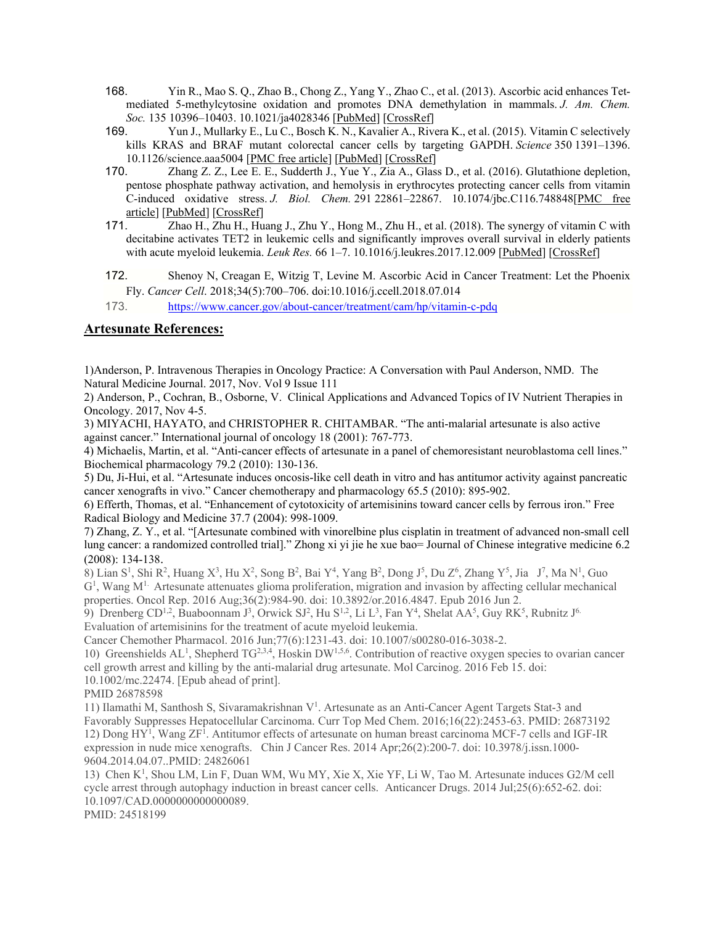- 168. Yin R., Mao S. Q., Zhao B., Chong Z., Yang Y., Zhao C., et al. (2013). Ascorbic acid enhances Tetmediated 5-methylcytosine oxidation and promotes DNA demethylation in mammals. *J. Am. Chem. Soc.* 135 10396–10403. 10.1021/ja4028346 [\[PubMed\]](https://www.ncbi.nlm.nih.gov/pubmed/23768208) [\[CrossRef\]](https://dx.doi.org/10.1021%2Fja4028346)
- 169. Yun J., Mullarky E., Lu C., Bosch K. N., Kavalier A., Rivera K., et al. (2015). Vitamin C selectively kills KRAS and BRAF mutant colorectal cancer cells by targeting GAPDH. *Science* 350 1391–1396. 10.1126/science.aaa5004 [\[PMC free article\]](https://www.ncbi.nlm.nih.gov/pmc/articles/PMC4778961/) [\[PubMed\]](https://www.ncbi.nlm.nih.gov/pubmed/26541605) [\[CrossRef\]](https://dx.doi.org/10.1126%2Fscience.aaa5004)
- 170. Zhang Z. Z., Lee E. E., Sudderth J., Yue Y., Zia A., Glass D., et al. (2016). Glutathione depletion, pentose phosphate pathway activation, and hemolysis in erythrocytes protecting cancer cells from vitamin C-induced oxidative stress. *J. Biol. Chem.* 291 22861–22867. 10.1074/jbc.C116.748848[\[PMC free](https://www.ncbi.nlm.nih.gov/pmc/articles/PMC5087709/)  [article\]](https://www.ncbi.nlm.nih.gov/pmc/articles/PMC5087709/) [\[PubMed\]](https://www.ncbi.nlm.nih.gov/pubmed/27660392) [\[CrossRef\]](https://dx.doi.org/10.1074%2Fjbc.C116.748848)
- 171. Zhao H., Zhu H., Huang J., Zhu Y., Hong M., Zhu H., et al. (2018). The synergy of vitamin C with decitabine activates TET2 in leukemic cells and significantly improves overall survival in elderly patients with acute myeloid leukemia. *Leuk Res.* 66 1–7. 10.1016/j.leukres.2017.12.009 [\[PubMed\]](https://www.ncbi.nlm.nih.gov/pubmed/29331774) [\[CrossRef\]](https://dx.doi.org/10.1016%2Fj.leukres.2017.12.009)
- 172. Shenoy N, Creagan E, Witzig T, Levine M. Ascorbic Acid in Cancer Treatment: Let the Phoenix Fly. *Cancer Cell*. 2018;34(5):700–706. doi:10.1016/j.ccell.2018.07.014
- 173. <https://www.cancer.gov/about-cancer/treatment/cam/hp/vitamin-c-pdq>

### **Artesunate References:**

1)Anderson, P. Intravenous Therapies in Oncology Practice: A Conversation with Paul Anderson, NMD. The Natural Medicine Journal. 2017, Nov. Vol 9 Issue 111

2) Anderson, P., Cochran, B., Osborne, V. Clinical Applications and Advanced Topics of IV Nutrient Therapies in Oncology. 2017, Nov 4-5.

3) MIYACHI, HAYATO, and CHRISTOPHER R. CHITAMBAR. "The anti-malarial artesunate is also active against cancer." International journal of oncology 18 (2001): 767-773.

4) Michaelis, Martin, et al. "Anti-cancer effects of artesunate in a panel of chemoresistant neuroblastoma cell lines." Biochemical pharmacology 79.2 (2010): 130-136.

5) Du, Ji-Hui, et al. "Artesunate induces oncosis-like cell death in vitro and has antitumor activity against pancreatic cancer xenografts in vivo." Cancer chemotherapy and pharmacology 65.5 (2010): 895-902.

6) Efferth, Thomas, et al. "Enhancement of cytotoxicity of artemisinins toward cancer cells by ferrous iron." Free Radical Biology and Medicine 37.7 (2004): 998-1009.

7) Zhang, Z. Y., et al. "[Artesunate combined with vinorelbine plus cisplatin in treatment of advanced non-small cell lung cancer: a randomized controlled trial]." Zhong xi yi jie he xue bao= Journal of Chinese integrative medicine 6.2 (2008): 134-138.

8) Lian S<sup>1</sup>, Shi R<sup>2</sup>, Huang X<sup>3</sup>, Hu X<sup>2</sup>, Song B<sup>2</sup>, Bai Y<sup>4</sup>, Yang B<sup>2</sup>, Dong J<sup>5</sup>, Du Z<sup>6</sup>, Zhang Y<sup>5</sup>, Jia J<sup>7</sup>, Ma N<sup>1</sup>, Guo G<sup>1</sup>, Wang M<sup>1.</sup> Artesunate attenuates glioma proliferation, migration and invasion by affecting cellular mechanical properties. Oncol Rep. 2016 Aug;36(2):984-90. doi: 10.3892/or.2016.4847. Epub 2016 Jun 2.

9) Drenberg CD<sup>1,2</sup>, Buaboonnam J<sup>3</sup>, Orwick SJ<sup>2</sup>, Hu S<sup>1,2</sup>, Li L<sup>3</sup>, Fan Y<sup>4</sup>, Shelat AA<sup>5</sup>, Guy RK<sup>5</sup>, Rubnitz J<sup>6.</sup>

Evaluation of artemisinins for the treatment of acute myeloid leukemia.

Cancer Chemother Pharmacol. 2016 Jun;77(6):1231-43. doi: 10.1007/s00280-016-3038-2.

10) Greenshields AL<sup>1</sup>, Shepherd TG<sup>2,3,4</sup>, Hoskin DW<sup>1,5,6</sup>. Contribution of reactive oxygen species to ovarian cancer cell growth arrest and killing by the anti-malarial drug artesunate. Mol Carcinog. 2016 Feb 15. doi: 10.1002/mc.22474. [Epub ahead of print].

PMID 26878598

11) Ilamathi M, Santhosh S, Sivaramakrishnan V<sup>1</sup>. Artesunate as an Anti-Cancer Agent Targets Stat-3 and Favorably Suppresses Hepatocellular Carcinoma. Curr Top Med Chem. 2016;16(22):2453-63. PMID: 26873192 12) Dong HY<sup>1</sup>, Wang ZF<sup>1</sup>. Antitumor effects of artesunate on human breast carcinoma MCF-7 cells and IGF-IR expression in nude mice xenografts. Chin J Cancer Res. 2014 Apr;26(2):200-7. doi: 10.3978/j.issn.1000- 9604.2014.04.07..PMID: 24826061

13) Chen K<sup>1</sup>, Shou LM, Lin F, Duan WM, Wu MY, Xie X, Xie YF, Li W, Tao M. Artesunate induces G2/M cell cycle arrest through autophagy induction in breast cancer cells. Anticancer Drugs. 2014 Jul;25(6):652-62. doi: 10.1097/CAD.0000000000000089.

PMID: 24518199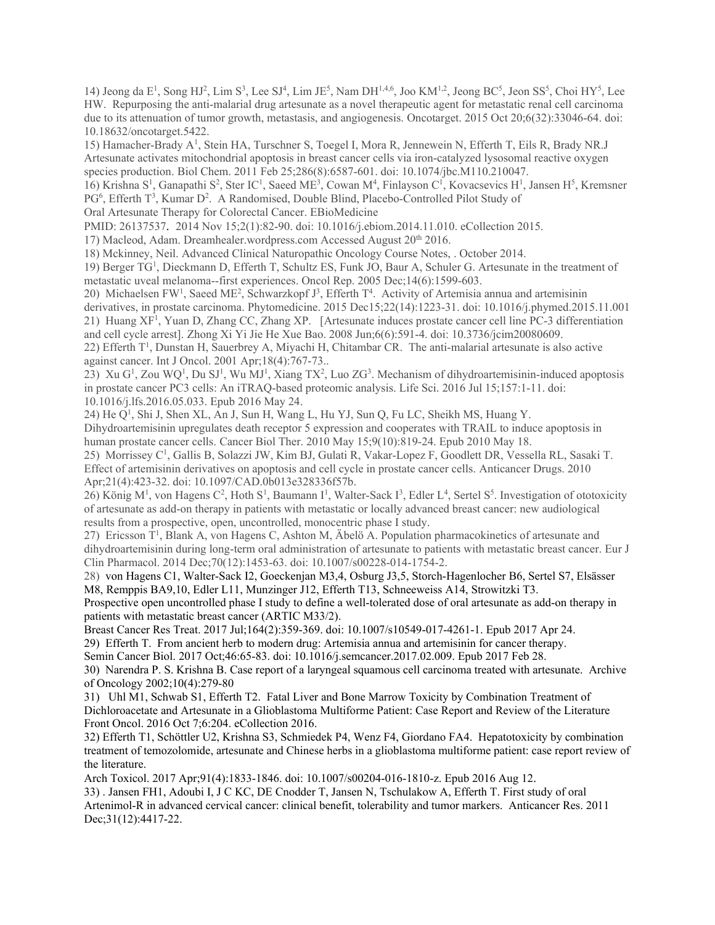14) Jeong da E<sup>1</sup>, Song HJ<sup>2</sup>, Lim S<sup>3</sup>, Lee SJ<sup>4</sup>, Lim JE<sup>5</sup>, Nam DH<sup>1,4,6</sup>, Joo KM<sup>1,2</sup>, Jeong BC<sup>5</sup>, Jeon SS<sup>5</sup>, Choi HY<sup>5</sup>, Lee HW. Repurposing the anti-malarial drug artesunate as a novel therapeutic agent for metastatic renal cell carcinoma due to its attenuation of tumor growth, metastasis, and angiogenesis. Oncotarget. 2015 Oct 20;6(32):33046-64. doi: 10.18632/oncotarget.5422.

15) Hamacher-Brady A<sup>1</sup>, Stein HA, Turschner S, Toegel I, Mora R, Jennewein N, Efferth T, Eils R, Brady NR.J Artesunate activates mitochondrial apoptosis in breast cancer cells via iron-catalyzed lysosomal reactive oxygen species production. Biol Chem. 2011 Feb 25;286(8):6587-601. doi: 10.1074/jbc.M110.210047.

16) Krishna S<sup>1</sup>, Ganapathi S<sup>2</sup>, Ster IC<sup>1</sup>, Saeed ME<sup>3</sup>, Cowan M<sup>4</sup>, Finlayson C<sup>1</sup>, Kovacsevics H<sup>1</sup>, Jansen H<sup>5</sup>, Kremsner PG<sup>6</sup>, Efferth T<sup>3</sup>, Kumar D<sup>2</sup>. A Randomised, Double Blind, Placebo-Controlled Pilot Study of

Oral Artesunate Therapy for Colorectal Cancer. EBioMedicine

PMID: 26137537. 2014 Nov 15;2(1):82-90. doi: 10.1016/j.ebiom.2014.11.010. eCollection 2015.

17) Macleod, Adam. Dreamhealer.wordpress.com Accessed August 20<sup>th</sup> 2016.

18) Mckinney, Neil. Advanced Clinical Naturopathic Oncology Course Notes, . October 2014.

19) Berger TG<sup>1</sup>, Dieckmann D, Efferth T, Schultz ES, Funk JO, Baur A, Schuler G. Artesunate in the treatment of metastatic uveal melanoma--first experiences. Oncol Rep. 2005 Dec;14(6):1599-603.

20) Michaelsen FW<sup>1</sup>, Saeed ME<sup>2</sup>, Schwarzkopf J<sup>3</sup>, Efferth T<sup>4</sup>. Activity of Artemisia annua and artemisinin derivatives, in prostate carcinoma. Phytomedicine. 2015 Dec15;22(14):1223-31. doi: 10.1016/j.phymed.2015.11.001

21) Huang XF<sup>1</sup>, Yuan D, Zhang CC, Zhang XP. [Artesunate induces prostate cancer cell line PC-3 differentiation

and cell cycle arrest]. Zhong Xi Yi Jie He Xue Bao. 2008 Jun;6(6):591-4. doi: 10.3736/jcim20080609.

22) Efferth T<sup>1</sup>, Dunstan H, Sauerbrey A, Miyachi H, Chitambar CR. The anti-malarial artesunate is also active against cancer. Int J Oncol. 2001 Apr;18(4):767-73..

23) Xu G<sup>1</sup>, Zou WQ<sup>1</sup>, Du SJ<sup>1</sup>, Wu MJ<sup>1</sup>, Xiang TX<sup>2</sup>, Luo ZG<sup>3</sup>. Mechanism of dihydroartemisinin-induced apoptosis in prostate cancer PC3 cells: An iTRAQ-based proteomic analysis. Life Sci. 2016 Jul 15;157:1-11. doi: 10.1016/j.lfs.2016.05.033. Epub 2016 May 24.

24) He Q<sup>1</sup>, Shi J, Shen XL, An J, Sun H, Wang L, Hu YJ, Sun Q, Fu LC, Sheikh MS, Huang Y.

Dihydroartemisinin upregulates death receptor 5 expression and cooperates with TRAIL to induce apoptosis in human prostate cancer cells. Cancer Biol Ther. 2010 May 15;9(10):819-24. Epub 2010 May 18.

25) Morrissey C<sup>1</sup>, Gallis B, Solazzi JW, Kim BJ, Gulati R, Vakar-Lopez F, Goodlett DR, Vessella RL, Sasaki T. Effect of artemisinin derivatives on apoptosis and cell cycle in prostate cancer cells. Anticancer Drugs. 2010 Apr;21(4):423-32. doi: 10.1097/CAD.0b013e328336f57b.

26) König M<sup>1</sup>, von Hagens C<sup>2</sup>, Hoth S<sup>1</sup>, Baumann I<sup>1</sup>, Walter-Sack I<sup>3</sup>, Edler L<sup>4</sup>, Sertel S<sup>5</sup>. Investigation of ototoxicity of artesunate as add-on therapy in patients with metastatic or locally advanced breast cancer: new audiological results from a prospective, open, uncontrolled, monocentric phase I study.

27) Ericsson T<sup>1</sup>, Blank A, von Hagens C, Ashton M, Äbelö A. Population pharmacokinetics of artesunate and dihydroartemisinin during long-term oral administration of artesunate to patients with metastatic breast cancer. Eur J Clin Pharmacol. 2014 Dec;70(12):1453-63. doi: 10.1007/s00228-014-1754-2.

28) von Hagens C1, Walter-Sack I2, Goeckenjan M3,4, Osburg J3,5, Storch-Hagenlocher B6, Sertel S7, Elsässer M8, Remppis BA9,10, Edler L11, Munzinger J12, Efferth T13, Schneeweiss A14, Strowitzki T3.

Prospective open uncontrolled phase I study to define a well-tolerated dose of oral artesunate as add-on therapy in patients with metastatic breast cancer (ARTIC M33/2).

Breast Cancer Res Treat. 2017 Jul;164(2):359-369. doi: 10.1007/s10549-017-4261-1. Epub 2017 Apr 24.

29) Efferth T. From ancient herb to modern drug: Artemisia annua and artemisinin for cancer therapy.

Semin Cancer Biol. 2017 Oct;46:65-83. doi: 10.1016/j.semcancer.2017.02.009. Epub 2017 Feb 28.

30) Narendra P. S. Krishna B. Case report of a laryngeal squamous cell carcinoma treated with artesunate. Archive of Oncology 2002;10(4):279-80

31) Uhl M1, Schwab S1, Efferth T2. Fatal Liver and Bone Marrow Toxicity by Combination Treatment of Dichloroacetate and Artesunate in a Glioblastoma Multiforme Patient: Case Report and Review of the Literature Front Oncol. 2016 Oct 7;6:204. eCollection 2016.

32) Efferth T1, Schöttler U2, Krishna S3, Schmiedek P4, Wenz F4, Giordano FA4. Hepatotoxicity by combination treatment of temozolomide, artesunate and Chinese herbs in a glioblastoma multiforme patient: case report review of the literature.

Arch Toxicol. 2017 Apr;91(4):1833-1846. doi: 10.1007/s00204-016-1810-z. Epub 2016 Aug 12.

33) . Jansen FH1, Adoubi I, J C KC, DE Cnodder T, Jansen N, Tschulakow A, Efferth T. First study of oral Artenimol-R in advanced cervical cancer: clinical benefit, tolerability and tumor markers. Anticancer Res. 2011 Dec; 31(12): 4417-22.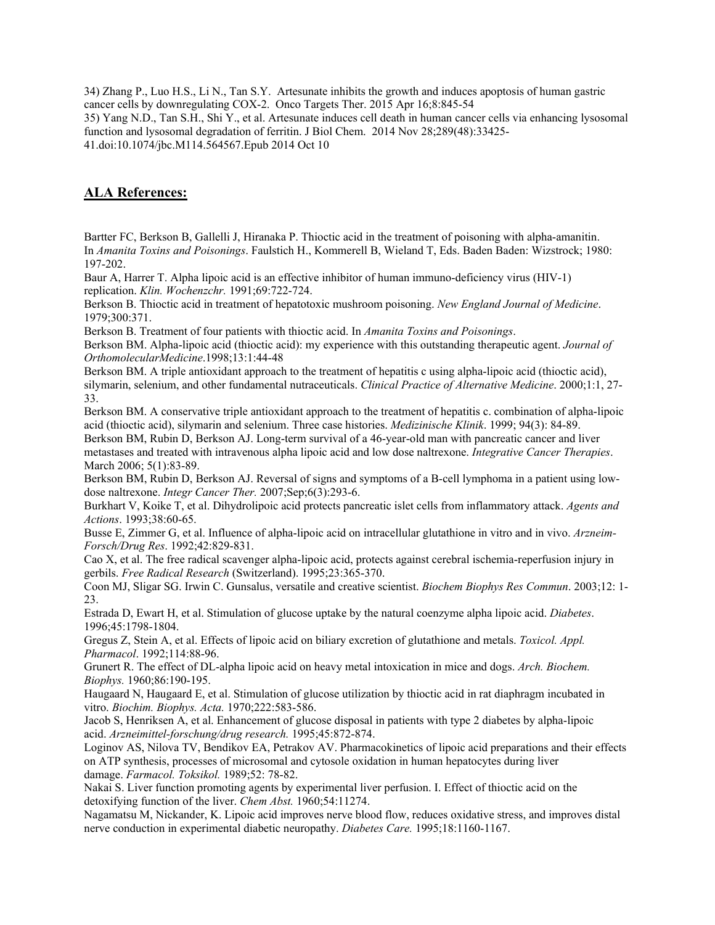34) Zhang P., Luo H.S., Li N., Tan S.Y. Artesunate inhibits the growth and induces apoptosis of human gastric cancer cells by downregulating COX-2. Onco Targets Ther. 2015 Apr 16;8:845-54 35) Yang N.D., Tan S.H., Shi Y., et al. Artesunate induces cell death in human cancer cells via enhancing lysosomal function and lysosomal degradation of ferritin. J Biol Chem. 2014 Nov 28;289(48):33425- 41.doi:10.1074/jbc.M114.564567.Epub 2014 Oct 10

# **ALA References:**

Bartter FC, Berkson B, Gallelli J, Hiranaka P. Thioctic acid in the treatment of poisoning with alpha-amanitin. In *Amanita Toxins and Poisonings*. Faulstich H., Kommerell B, Wieland T, Eds. Baden Baden: Wizstrock; 1980: 197-202.

Baur A, Harrer T. Alpha lipoic acid is an effective inhibitor of human immuno-deficiency virus (HIV-1) replication. *Klin. Wochenzchr.* 1991;69:722-724.

Berkson B. Thioctic acid in treatment of hepatotoxic mushroom poisoning. *New England Journal of Medicine*. 1979;300:371.

Berkson B. Treatment of four patients with thioctic acid. In *Amanita Toxins and Poisonings*.

Berkson BM. Alpha-lipoic acid (thioctic acid): my experience with this outstanding therapeutic agent. *Journal of OrthomolecularMedicine*.1998;13:1:44-48

Berkson BM. A triple antioxidant approach to the treatment of hepatitis c using alpha-lipoic acid (thioctic acid), silymarin, selenium, and other fundamental nutraceuticals. *Clinical Practice of Alternative Medicine*. 2000;1:1, 27- 33.

Berkson BM. A conservative triple antioxidant approach to the treatment of hepatitis c. combination of alpha-lipoic acid (thioctic acid), silymarin and selenium. Three case histories. *Medizinische Klinik*. 1999; 94(3): 84-89.

Berkson BM, Rubin D, Berkson AJ. Long-term survival of a 46-year-old man with pancreatic cancer and liver metastases and treated with intravenous alpha lipoic acid and low dose naltrexone. *Integrative Cancer Therapies*. March 2006; 5(1):83-89.

Berkson BM, Rubin D, Berkson AJ. Reversal of signs and symptoms of a B-cell lymphoma in a patient using lowdose naltrexone. *Integr Cancer Ther.* 2007;Sep;6(3):293-6.

Burkhart V, Koike T, et al. Dihydrolipoic acid protects pancreatic islet cells from inflammatory attack. *Agents and Actions*. 1993;38:60-65.

Busse E, Zimmer G, et al. Influence of alpha-lipoic acid on intracellular glutathione in vitro and in vivo. *Arzneim-Forsch/Drug Res*. 1992;42:829-831.

Cao X, et al. The free radical scavenger alpha-lipoic acid, protects against cerebral ischemia-reperfusion injury in gerbils. *Free Radical Research* (Switzerland). 1995;23:365-370.

Coon MJ, Sligar SG. Irwin C. Gunsalus, versatile and creative scientist. *Biochem Biophys Res Commun*. 2003;12: 1- 23.

Estrada D, Ewart H, et al. Stimulation of glucose uptake by the natural coenzyme alpha lipoic acid. *Diabetes*. 1996;45:1798-1804.

Gregus Z, Stein A, et al. Effects of lipoic acid on biliary excretion of glutathione and metals. *Toxicol. Appl. Pharmacol*. 1992;114:88-96.

Grunert R. The effect of DL-alpha lipoic acid on heavy metal intoxication in mice and dogs. *Arch. Biochem. Biophys.* 1960;86:190-195.

Haugaard N, Haugaard E, et al. Stimulation of glucose utilization by thioctic acid in rat diaphragm incubated in vitro. *Biochim. Biophys. Acta.* 1970;222:583-586.

Jacob S, Henriksen A, et al. Enhancement of glucose disposal in patients with type 2 diabetes by alpha-lipoic acid. *Arzneimittel-forschung/drug research.* 1995;45:872-874.

Loginov AS, Nilova TV, Bendikov EA, Petrakov AV. Pharmacokinetics of lipoic acid preparations and their effects on ATP synthesis, processes of microsomal and cytosole oxidation in human hepatocytes during liver damage. *Farmacol. Toksikol.* 1989;52: 78-82.

Nakai S. Liver function promoting agents by experimental liver perfusion. I. Effect of thioctic acid on the detoxifying function of the liver. *Chem Abst.* 1960;54:11274.

Nagamatsu M, Nickander, K. Lipoic acid improves nerve blood flow, reduces oxidative stress, and improves distal nerve conduction in experimental diabetic neuropathy. *Diabetes Care.* 1995;18:1160-1167.